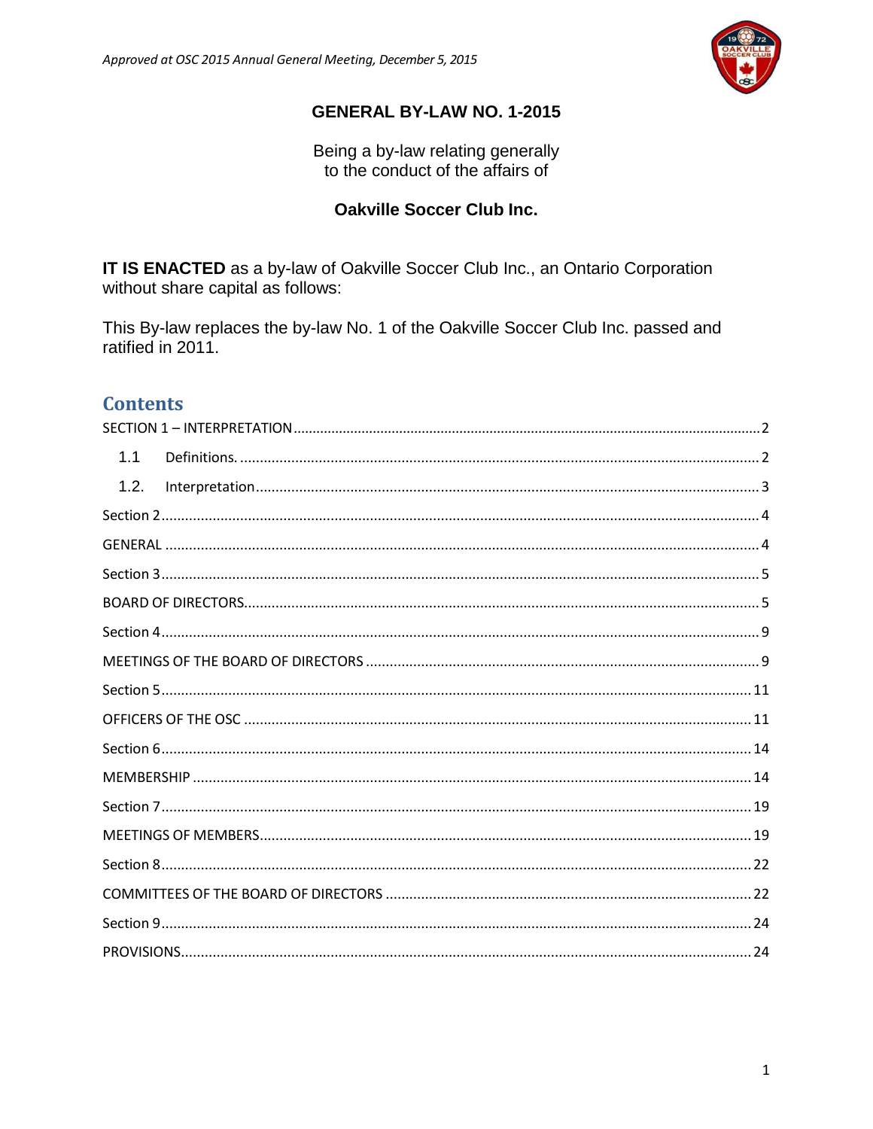

# **GENERAL BY-LAW NO. 1-2015**

Being a by-law relating generally<br>to the conduct of the affairs of

# **Oakville Soccer Club Inc.**

IT IS ENACTED as a by-law of Oakville Soccer Club Inc., an Ontario Corporation without share capital as follows:

This By-law replaces the by-law No. 1 of the Oakville Soccer Club Inc. passed and ratified in 2011.

# **Contents**

| 1.1  |
|------|
| 1.2. |
|      |
|      |
|      |
|      |
|      |
|      |
|      |
|      |
|      |
|      |
|      |
|      |
|      |
|      |
|      |
|      |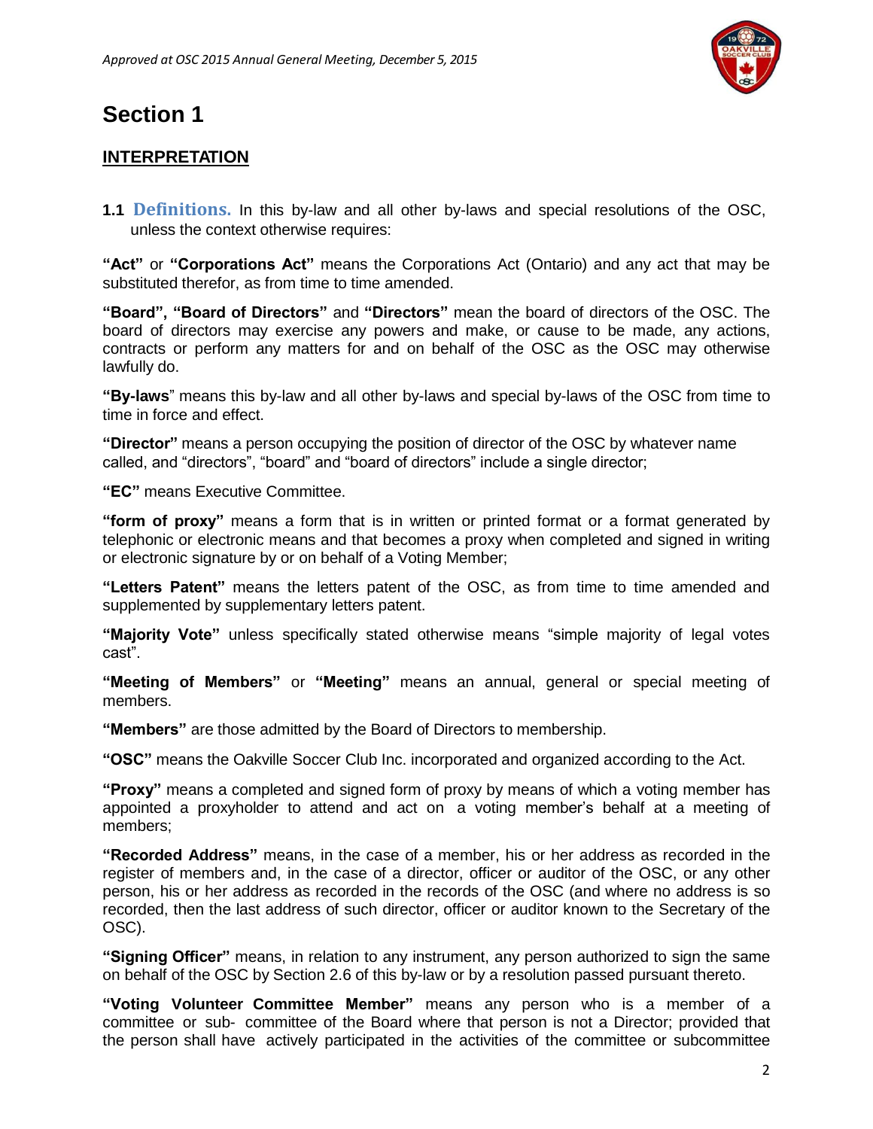

# <span id="page-1-0"></span>**Section 1**

# **INTERPRETATION**

<span id="page-1-1"></span>**1.1 Definitions.** In this by-law and all other by-laws and special resolutions of the OSC, unless the context otherwise requires:

**"Act"** or **"Corporations Act"** means the Corporations Act (Ontario) and any act that may be substituted therefor, as from time to time amended.

**"Board", "Board of Directors"** and **"Directors"** mean the board of directors of the OSC. The board of directors may exercise any powers and make, or cause to be made, any actions, contracts or perform any matters for and on behalf of the OSC as the OSC may otherwise lawfully do.

**"By-laws**" means this by-law and all other by-laws and special by-laws of the OSC from time to time in force and effect.

**"Director"** means a person occupying the position of director of the OSC by whatever name called, and "directors", "board" and "board of directors" include a single director;

**"EC"** means Executive Committee.

**"form of proxy"** means a form that is in written or printed format or a format generated by telephonic or electronic means and that becomes a proxy when completed and signed in writing or electronic signature by or on behalf of a Voting Member;

**"Letters Patent"** means the letters patent of the OSC, as from time to time amended and supplemented by supplementary letters patent.

**"Majority Vote"** unless specifically stated otherwise means "simple majority of legal votes cast".

**"Meeting of Members"** or **"Meeting"** means an annual, general or special meeting of members.

**"Members"** are those admitted by the Board of Directors to membership.

**"OSC"** means the Oakville Soccer Club Inc. incorporated and organized according to the Act.

**"Proxy"** means a completed and signed form of proxy by means of which a voting member has appointed a proxyholder to attend and act on a voting member's behalf at a meeting of members;

**"Recorded Address"** means, in the case of a member, his or her address as recorded in the register of members and, in the case of a director, officer or auditor of the OSC, or any other person, his or her address as recorded in the records of the OSC (and where no address is so recorded, then the last address of such director, officer or auditor known to the Secretary of the OSC).

**"Signing Officer"** means, in relation to any instrument, any person authorized to sign the same on behalf of the OSC by Section 2.6 of this by-law or by a resolution passed pursuant thereto.

**"Voting Volunteer Committee Member"** means any person who is a member of a committee or sub- committee of the Board where that person is not a Director; provided that the person shall have actively participated in the activities of the committee or subcommittee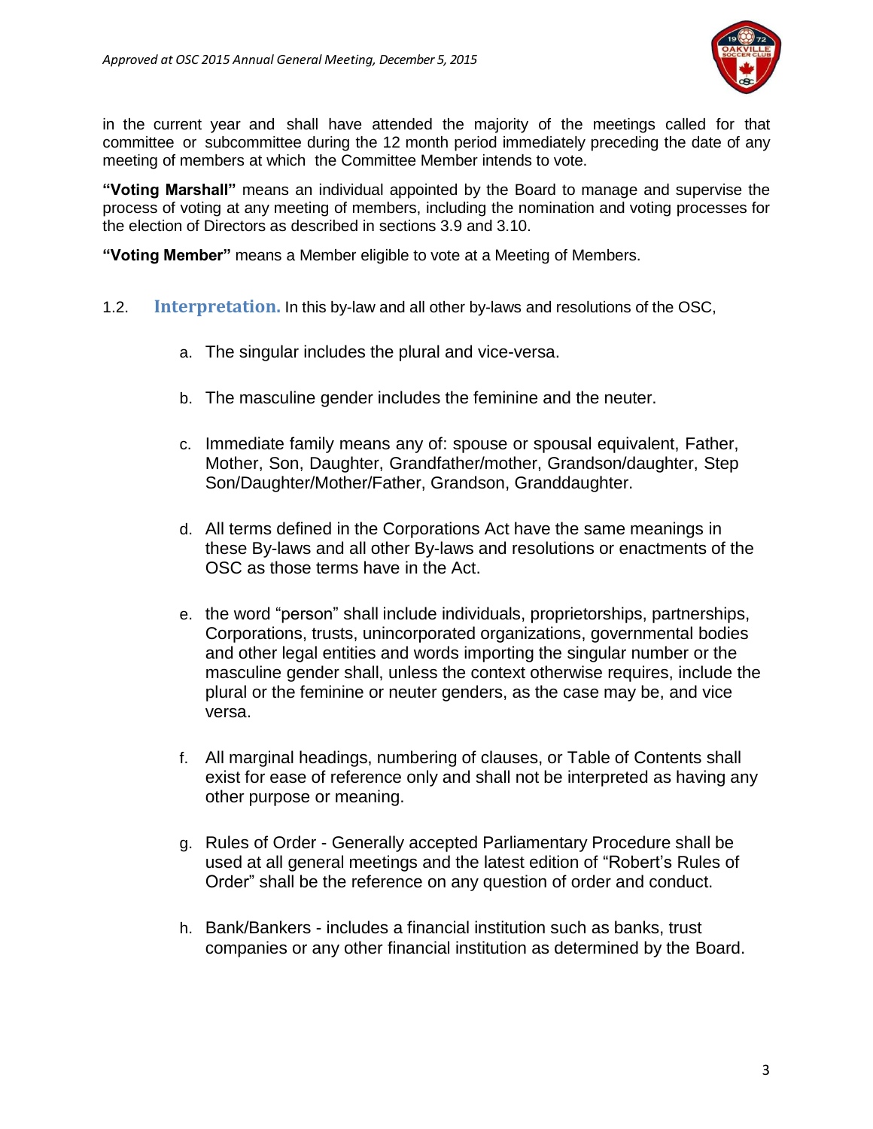

in the current year and shall have attended the majority of the meetings called for that committee or subcommittee during the 12 month period immediately preceding the date of any meeting of members at which the Committee Member intends to vote.

**"Voting Marshall"** means an individual appointed by the Board to manage and supervise the process of voting at any meeting of members, including the nomination and voting processes for the election of Directors as described in sections 3.9 and 3.10.

**"Voting Member"** means a Member eligible to vote at a Meeting of Members.

- <span id="page-2-0"></span>1.2. **Interpretation.** In this by-law and all other by-laws and resolutions of the OSC,
	- a. The singular includes the plural and vice-versa.
	- b. The masculine gender includes the feminine and the neuter.
	- c. Immediate family means any of: spouse or spousal equivalent, Father, Mother, Son, Daughter, Grandfather/mother, Grandson/daughter, Step Son/Daughter/Mother/Father, Grandson, Granddaughter.
	- d. All terms defined in the Corporations Act have the same meanings in these By-laws and all other By-laws and resolutions or enactments of the OSC as those terms have in the Act.
	- e. the word "person" shall include individuals, proprietorships, partnerships, Corporations, trusts, unincorporated organizations, governmental bodies and other legal entities and words importing the singular number or the masculine gender shall, unless the context otherwise requires, include the plural or the feminine or neuter genders, as the case may be, and vice versa.
	- f. All marginal headings, numbering of clauses, or Table of Contents shall exist for ease of reference only and shall not be interpreted as having any other purpose or meaning.
	- g. Rules of Order Generally accepted Parliamentary Procedure shall be used at all general meetings and the latest edition of "Robert's Rules of Order" shall be the reference on any question of order and conduct.
	- h. Bank/Bankers includes a financial institution such as banks, trust companies or any other financial institution as determined by the Board.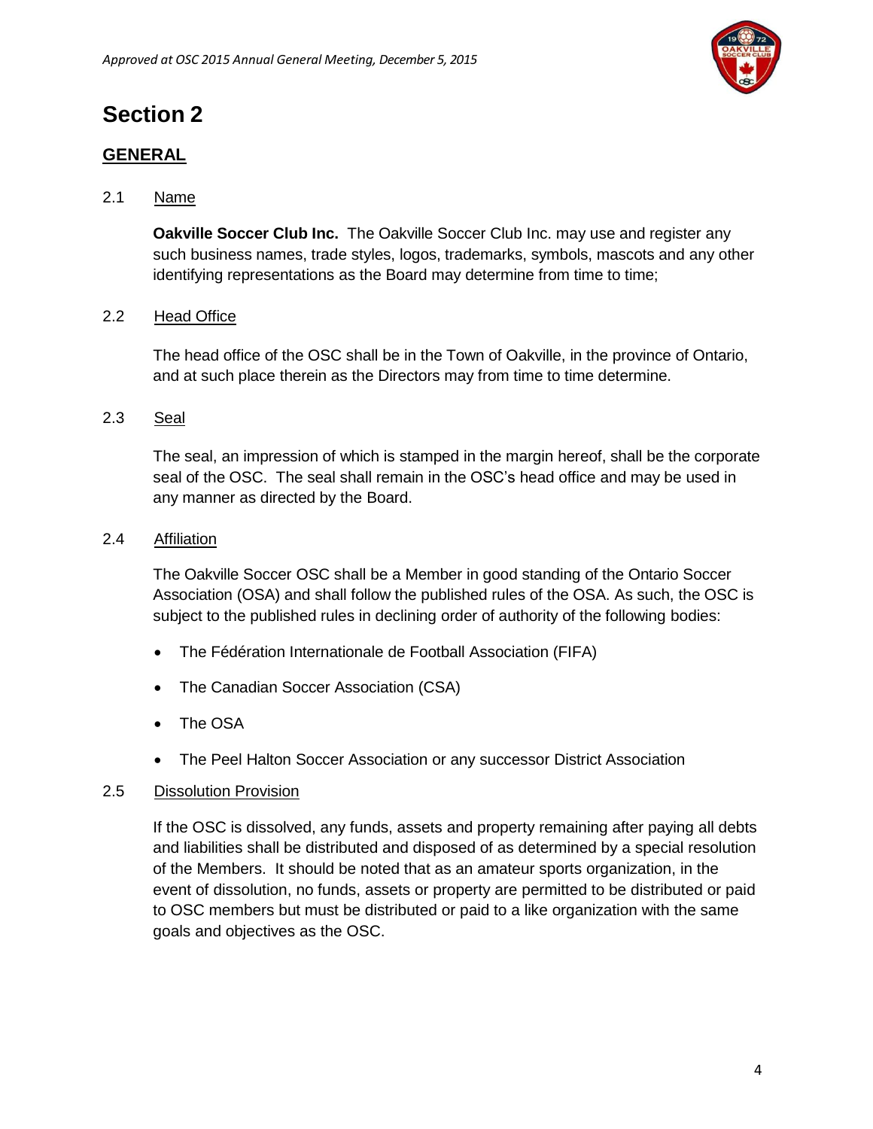

# <span id="page-3-0"></span>**Section 2**

# <span id="page-3-1"></span>**GENERAL**

# 2.1 Name

**Oakville Soccer Club Inc.** The Oakville Soccer Club Inc. may use and register any such business names, trade styles, logos, trademarks, symbols, mascots and any other identifying representations as the Board may determine from time to time;

# 2.2 Head Office

The head office of the OSC shall be in the Town of Oakville, in the province of Ontario, and at such place therein as the Directors may from time to time determine.

# 2.3 Seal

The seal, an impression of which is stamped in the margin hereof, shall be the corporate seal of the OSC. The seal shall remain in the OSC's head office and may be used in any manner as directed by the Board.

# 2.4 Affiliation

The Oakville Soccer OSC shall be a Member in good standing of the Ontario Soccer Association (OSA) and shall follow the published rules of the OSA. As such, the OSC is subject to the published rules in declining order of authority of the following bodies:

- The Fédération Internationale de Football Association (FIFA)
- The Canadian Soccer Association (CSA)
- The OSA
- The Peel Halton Soccer Association or any successor District Association

# 2.5 Dissolution Provision

<span id="page-3-2"></span>If the OSC is dissolved, any funds, assets and property remaining after paying all debts and liabilities shall be distributed and disposed of as determined by a special resolution of the Members. It should be noted that as an amateur sports organization, in the event of dissolution, no funds, assets or property are permitted to be distributed or paid to OSC members but must be distributed or paid to a like organization with the same goals and objectives as the OSC.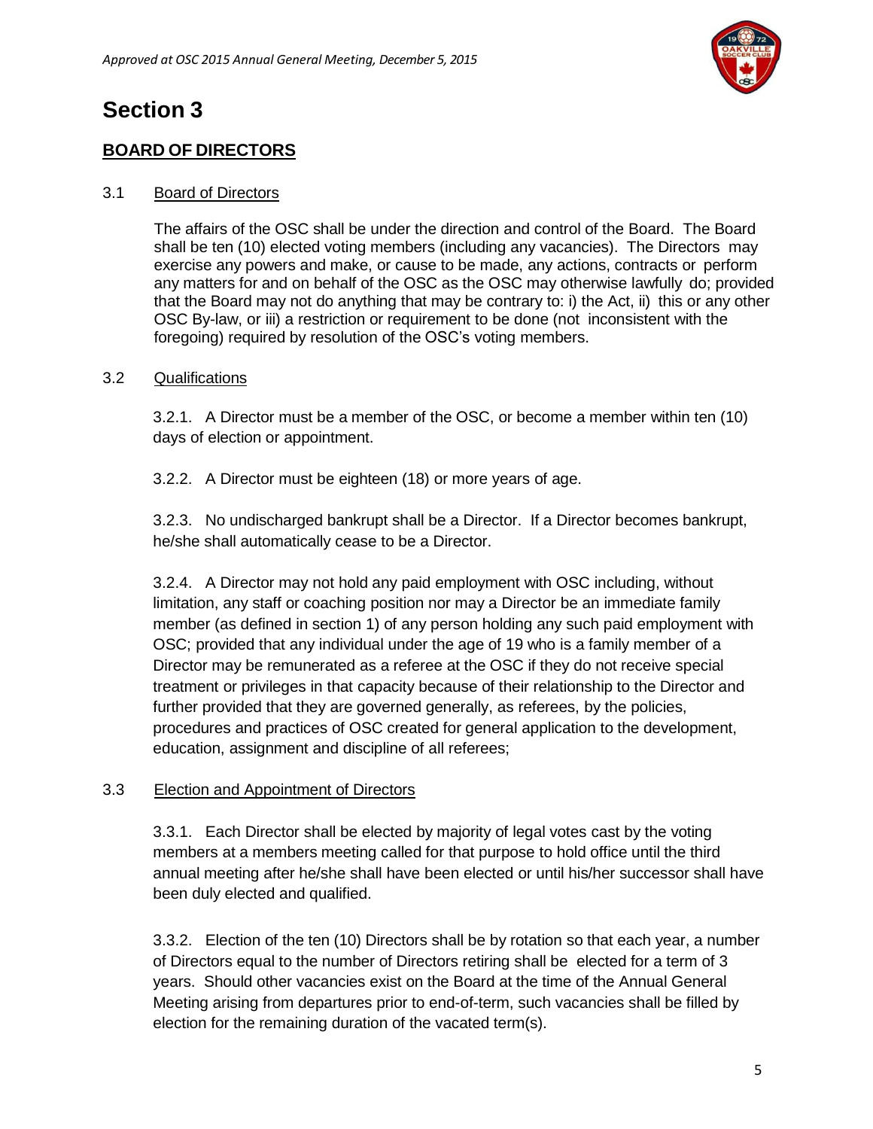

# **Section 3**

# <span id="page-4-0"></span>**BOARD OF DIRECTORS**

# 3.1 Board of Directors

The affairs of the OSC shall be under the direction and control of the Board. The Board shall be ten (10) elected voting members (including any vacancies). The Directors may exercise any powers and make, or cause to be made, any actions, contracts or perform any matters for and on behalf of the OSC as the OSC may otherwise lawfully do; provided that the Board may not do anything that may be contrary to: i) the Act, ii) this or any other OSC By-law, or iii) a restriction or requirement to be done (not inconsistent with the foregoing) required by resolution of the OSC's voting members.

### 3.2 Qualifications

3.2.1. A Director must be a member of the OSC, or become a member within ten (10) days of election or appointment.

3.2.2. A Director must be eighteen (18) or more years of age.

3.2.3. No undischarged bankrupt shall be a Director. If a Director becomes bankrupt, he/she shall automatically cease to be a Director.

3.2.4. A Director may not hold any paid employment with OSC including, without limitation, any staff or coaching position nor may a Director be an immediate family member (as defined in section 1) of any person holding any such paid employment with OSC; provided that any individual under the age of 19 who is a family member of a Director may be remunerated as a referee at the OSC if they do not receive special treatment or privileges in that capacity because of their relationship to the Director and further provided that they are governed generally, as referees, by the policies, procedures and practices of OSC created for general application to the development, education, assignment and discipline of all referees;

#### 3.3 Election and Appointment of Directors

3.3.1. Each Director shall be elected by majority of legal votes cast by the voting members at a members meeting called for that purpose to hold office until the third annual meeting after he/she shall have been elected or until his/her successor shall have been duly elected and qualified.

3.3.2. Election of the ten (10) Directors shall be by rotation so that each year, a number of Directors equal to the number of Directors retiring shall be elected for a term of 3 years. Should other vacancies exist on the Board at the time of the Annual General Meeting arising from departures prior to end-of-term, such vacancies shall be filled by election for the remaining duration of the vacated term(s).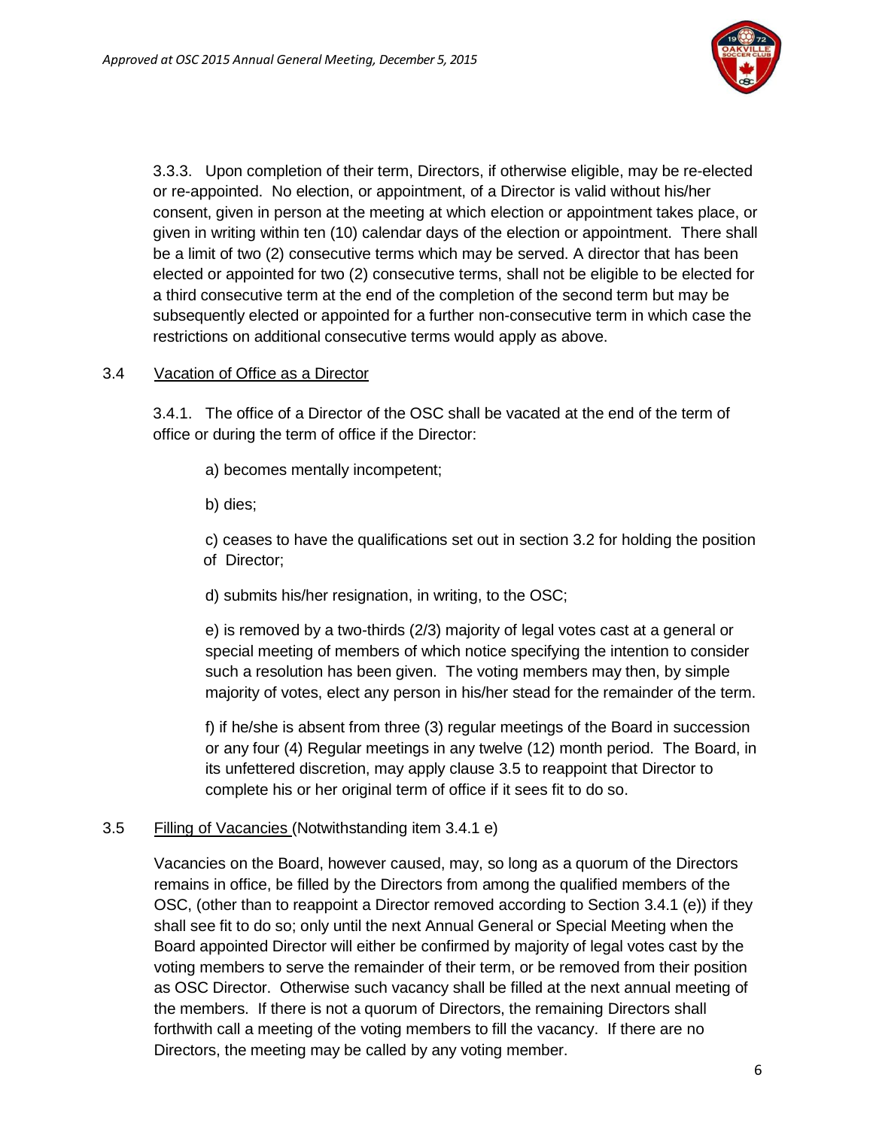

3.3.3. Upon completion of their term, Directors, if otherwise eligible, may be re-elected or re-appointed. No election, or appointment, of a Director is valid without his/her consent, given in person at the meeting at which election or appointment takes place, or given in writing within ten (10) calendar days of the election or appointment. There shall be a limit of two (2) consecutive terms which may be served. A director that has been elected or appointed for two (2) consecutive terms, shall not be eligible to be elected for a third consecutive term at the end of the completion of the second term but may be subsequently elected or appointed for a further non-consecutive term in which case the restrictions on additional consecutive terms would apply as above.

### 3.4 Vacation of Office as a Director

3.4.1. The office of a Director of the OSC shall be vacated at the end of the term of office or during the term of office if the Director:

- a) becomes mentally incompetent;
- b) dies;

c) ceases to have the qualifications set out in section 3.2 for holding the position of Director;

d) submits his/her resignation, in writing, to the OSC;

e) is removed by a two-thirds (2/3) majority of legal votes cast at a general or special meeting of members of which notice specifying the intention to consider such a resolution has been given. The voting members may then, by simple majority of votes, elect any person in his/her stead for the remainder of the term.

f) if he/she is absent from three (3) regular meetings of the Board in succession or any four (4) Regular meetings in any twelve (12) month period. The Board, in its unfettered discretion, may apply clause 3.5 to reappoint that Director to complete his or her original term of office if it sees fit to do so.

# 3.5 Filling of Vacancies (Notwithstanding item 3.4.1 e)

Vacancies on the Board, however caused, may, so long as a quorum of the Directors remains in office, be filled by the Directors from among the qualified members of the OSC, (other than to reappoint a Director removed according to Section 3.4.1 (e)) if they shall see fit to do so; only until the next Annual General or Special Meeting when the Board appointed Director will either be confirmed by majority of legal votes cast by the voting members to serve the remainder of their term, or be removed from their position as OSC Director. Otherwise such vacancy shall be filled at the next annual meeting of the members. If there is not a quorum of Directors, the remaining Directors shall forthwith call a meeting of the voting members to fill the vacancy. If there are no Directors, the meeting may be called by any voting member.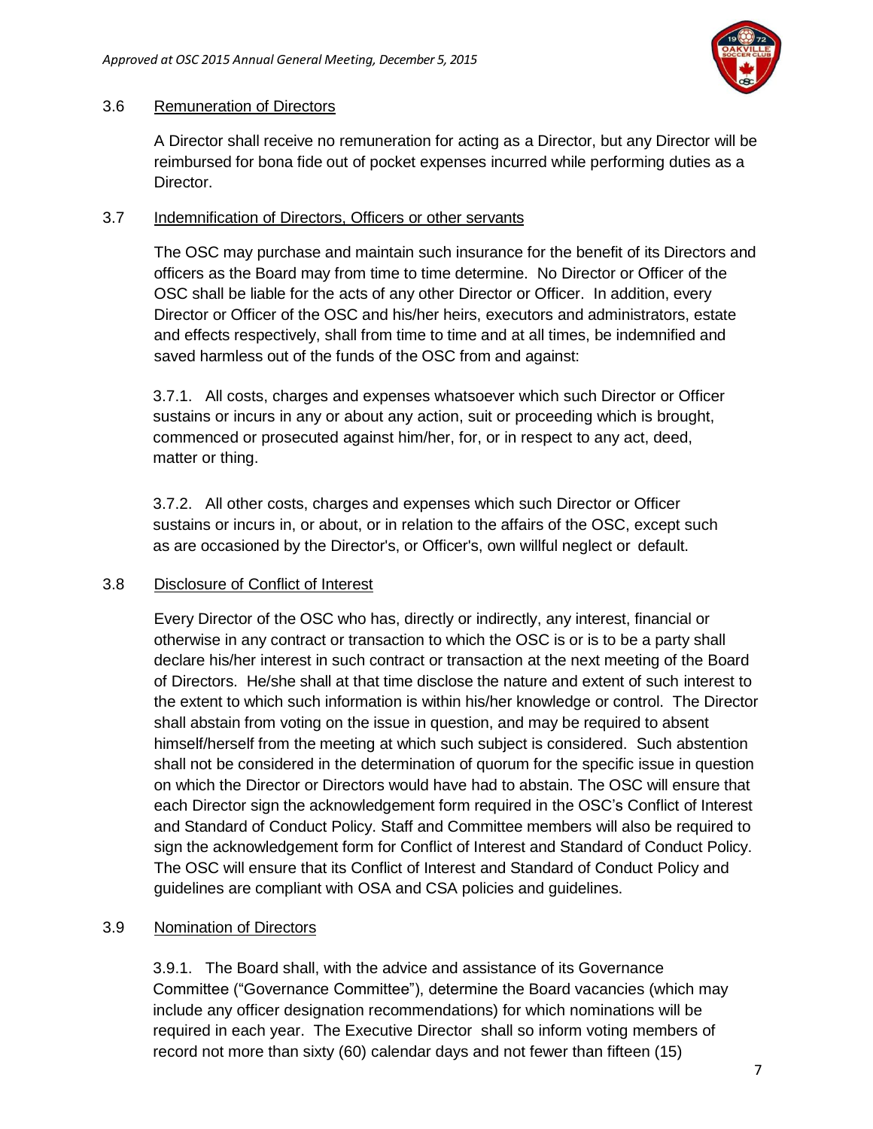

### 3.6 Remuneration of Directors

A Director shall receive no remuneration for acting as a Director, but any Director will be reimbursed for bona fide out of pocket expenses incurred while performing duties as a Director.

### 3.7 Indemnification of Directors, Officers or other servants

The OSC may purchase and maintain such insurance for the benefit of its Directors and officers as the Board may from time to time determine. No Director or Officer of the OSC shall be liable for the acts of any other Director or Officer. In addition, every Director or Officer of the OSC and his/her heirs, executors and administrators, estate and effects respectively, shall from time to time and at all times, be indemnified and saved harmless out of the funds of the OSC from and against:

3.7.1. All costs, charges and expenses whatsoever which such Director or Officer sustains or incurs in any or about any action, suit or proceeding which is brought, commenced or prosecuted against him/her, for, or in respect to any act, deed, matter or thing.

3.7.2. All other costs, charges and expenses which such Director or Officer sustains or incurs in, or about, or in relation to the affairs of the OSC, except such as are occasioned by the Director's, or Officer's, own willful neglect or default.

# 3.8 Disclosure of Conflict of Interest

Every Director of the OSC who has, directly or indirectly, any interest, financial or otherwise in any contract or transaction to which the OSC is or is to be a party shall declare his/her interest in such contract or transaction at the next meeting of the Board of Directors. He/she shall at that time disclose the nature and extent of such interest to the extent to which such information is within his/her knowledge or control. The Director shall abstain from voting on the issue in question, and may be required to absent himself/herself from the meeting at which such subject is considered. Such abstention shall not be considered in the determination of quorum for the specific issue in question on which the Director or Directors would have had to abstain. The OSC will ensure that each Director sign the acknowledgement form required in the OSC's Conflict of Interest and Standard of Conduct Policy. Staff and Committee members will also be required to sign the acknowledgement form for Conflict of Interest and Standard of Conduct Policy. The OSC will ensure that its Conflict of Interest and Standard of Conduct Policy and guidelines are compliant with OSA and CSA policies and guidelines.

# 3.9 Nomination of Directors

3.9.1. The Board shall, with the advice and assistance of its Governance Committee ("Governance Committee"), determine the Board vacancies (which may include any officer designation recommendations) for which nominations will be required in each year. The Executive Director shall so inform voting members of record not more than sixty (60) calendar days and not fewer than fifteen (15)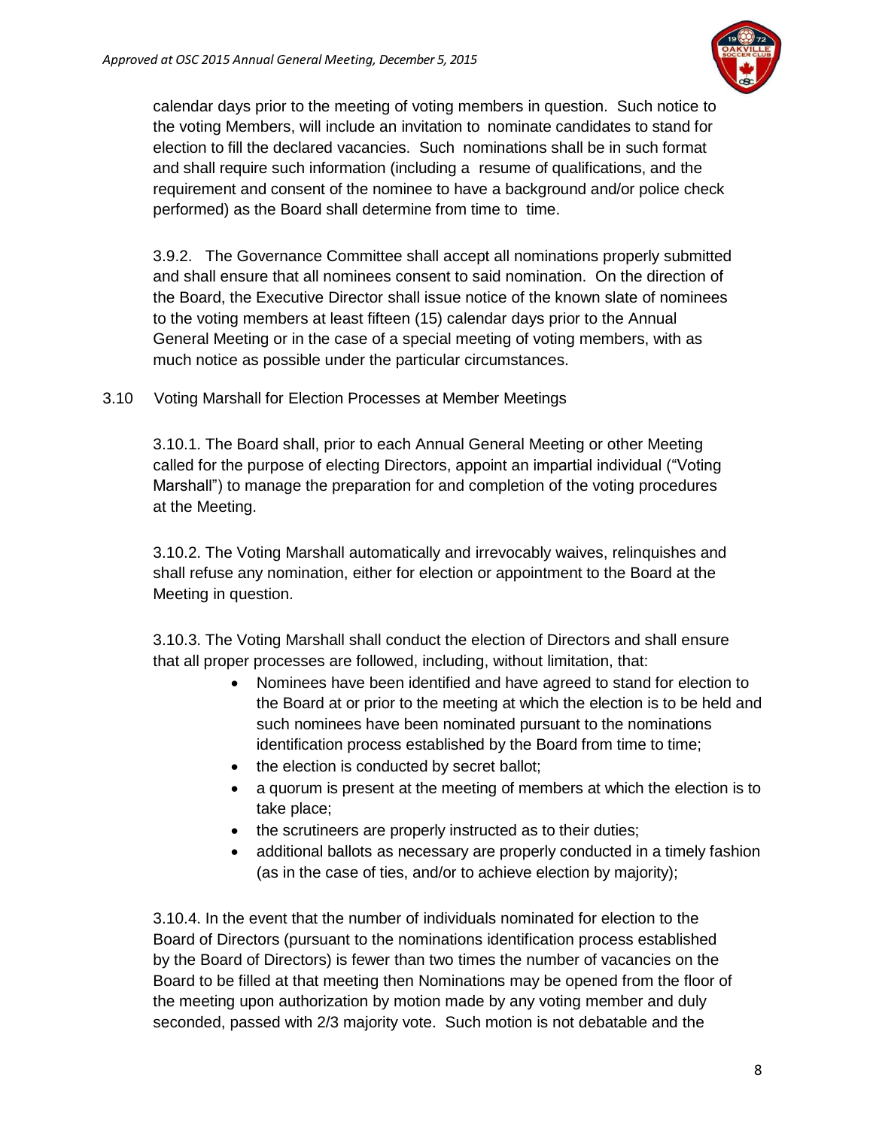

calendar days prior to the meeting of voting members in question. Such notice to the voting Members, will include an invitation to nominate candidates to stand for election to fill the declared vacancies. Such nominations shall be in such format and shall require such information (including a resume of qualifications, and the requirement and consent of the nominee to have a background and/or police check performed) as the Board shall determine from time to time.

3.9.2. The Governance Committee shall accept all nominations properly submitted and shall ensure that all nominees consent to said nomination. On the direction of the Board, the Executive Director shall issue notice of the known slate of nominees to the voting members at least fifteen (15) calendar days prior to the Annual General Meeting or in the case of a special meeting of voting members, with as much notice as possible under the particular circumstances.

3.10 Voting Marshall for Election Processes at Member Meetings

3.10.1. The Board shall, prior to each Annual General Meeting or other Meeting called for the purpose of electing Directors, appoint an impartial individual ("Voting Marshall") to manage the preparation for and completion of the voting procedures at the Meeting.

3.10.2. The Voting Marshall automatically and irrevocably waives, relinquishes and shall refuse any nomination, either for election or appointment to the Board at the Meeting in question.

3.10.3. The Voting Marshall shall conduct the election of Directors and shall ensure that all proper processes are followed, including, without limitation, that:

- Nominees have been identified and have agreed to stand for election to the Board at or prior to the meeting at which the election is to be held and such nominees have been nominated pursuant to the nominations identification process established by the Board from time to time;
- the election is conducted by secret ballot;
- a quorum is present at the meeting of members at which the election is to take place;
- the scrutineers are properly instructed as to their duties;
- additional ballots as necessary are properly conducted in a timely fashion (as in the case of ties, and/or to achieve election by majority);

3.10.4. In the event that the number of individuals nominated for election to the Board of Directors (pursuant to the nominations identification process established by the Board of Directors) is fewer than two times the number of vacancies on the Board to be filled at that meeting then Nominations may be opened from the floor of the meeting upon authorization by motion made by any voting member and duly seconded, passed with 2/3 majority vote. Such motion is not debatable and the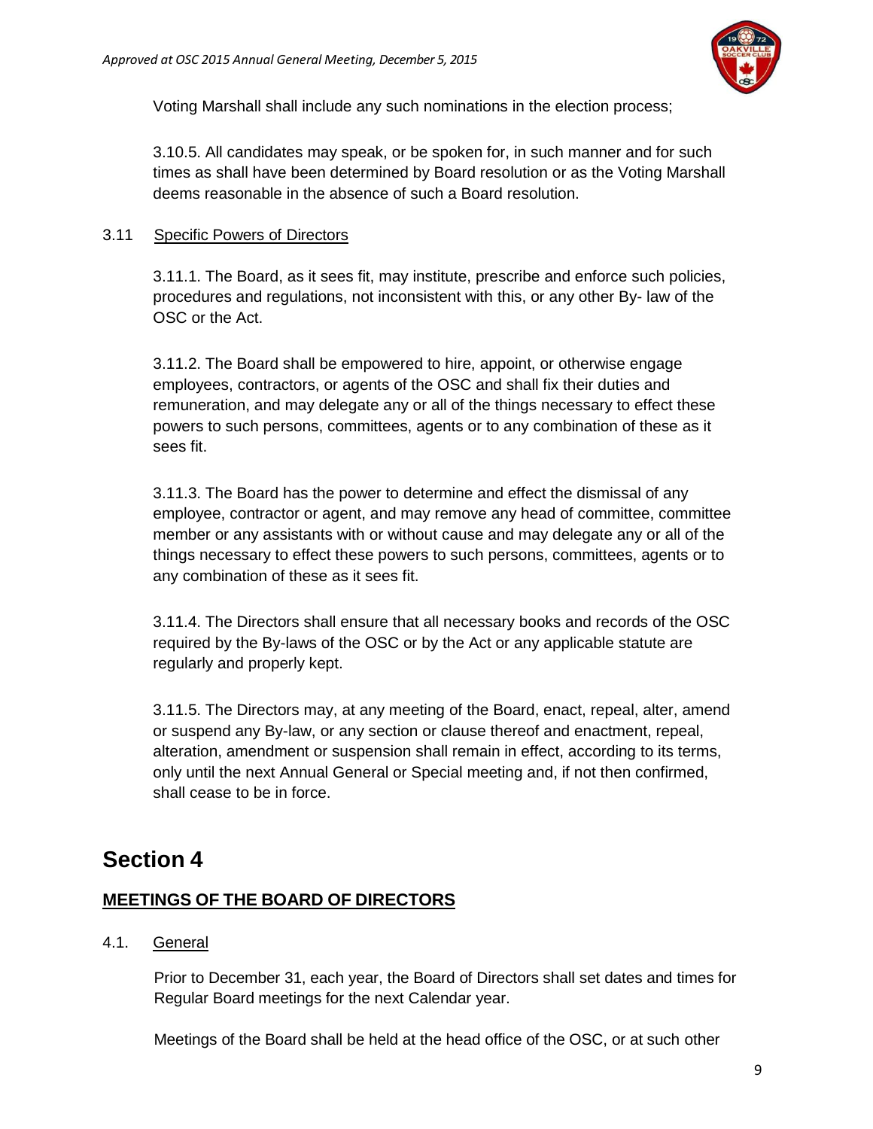

Voting Marshall shall include any such nominations in the election process;

3.10.5. All candidates may speak, or be spoken for, in such manner and for such times as shall have been determined by Board resolution or as the Voting Marshall deems reasonable in the absence of such a Board resolution.

### 3.11 Specific Powers of Directors

3.11.1. The Board, as it sees fit, may institute, prescribe and enforce such policies, procedures and regulations, not inconsistent with this, or any other By- law of the OSC or the Act.

3.11.2. The Board shall be empowered to hire, appoint, or otherwise engage employees, contractors, or agents of the OSC and shall fix their duties and remuneration, and may delegate any or all of the things necessary to effect these powers to such persons, committees, agents or to any combination of these as it sees fit.

3.11.3. The Board has the power to determine and effect the dismissal of any employee, contractor or agent, and may remove any head of committee, committee member or any assistants with or without cause and may delegate any or all of the things necessary to effect these powers to such persons, committees, agents or to any combination of these as it sees fit.

3.11.4. The Directors shall ensure that all necessary books and records of the OSC required by the By-laws of the OSC or by the Act or any applicable statute are regularly and properly kept.

3.11.5. The Directors may, at any meeting of the Board, enact, repeal, alter, amend or suspend any By-law, or any section or clause thereof and enactment, repeal, alteration, amendment or suspension shall remain in effect, according to its terms, only until the next Annual General or Special meeting and, if not then confirmed, shall cease to be in force.

# <span id="page-8-0"></span>**Section 4**

# <span id="page-8-1"></span>**MEETINGS OF THE BOARD OF DIRECTORS**

# 4.1. General

Prior to December 31, each year, the Board of Directors shall set dates and times for Regular Board meetings for the next Calendar year.

Meetings of the Board shall be held at the head office of the OSC, or at such other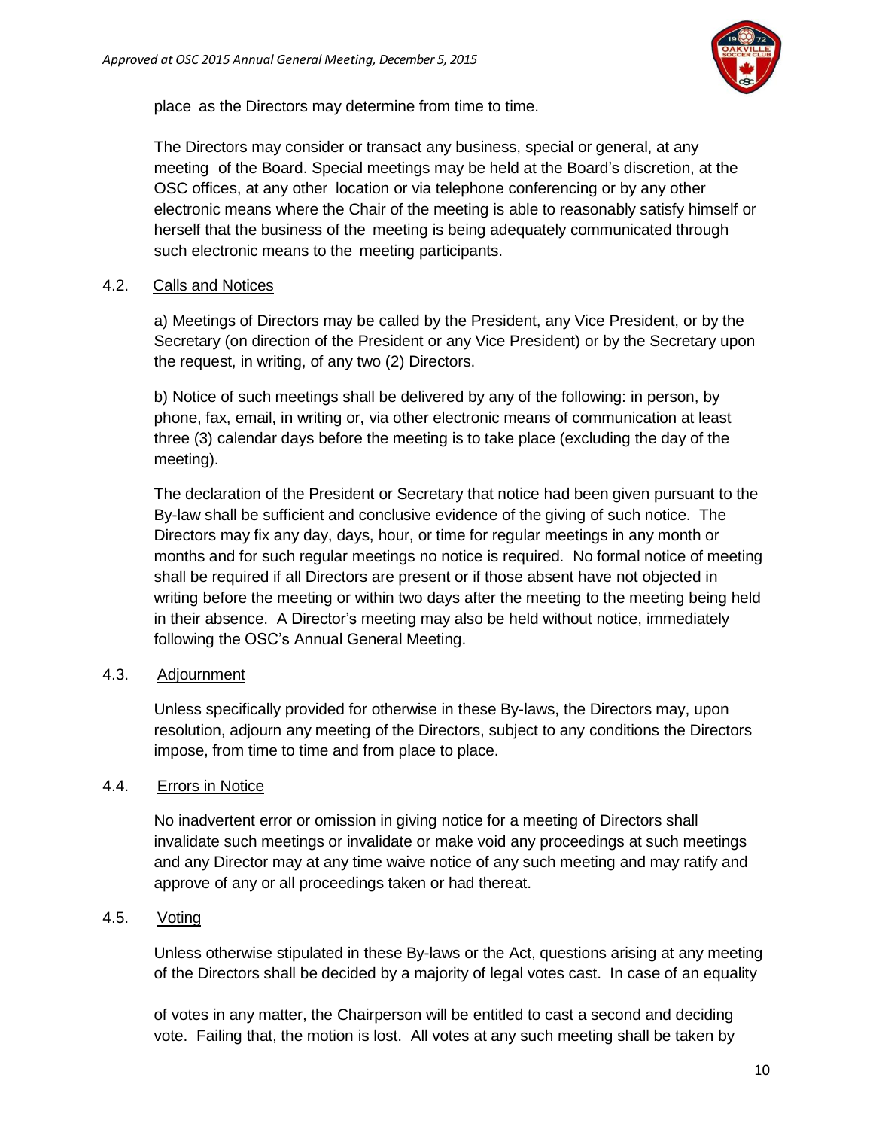

place as the Directors may determine from time to time.

The Directors may consider or transact any business, special or general, at any meeting of the Board. Special meetings may be held at the Board's discretion, at the OSC offices, at any other location or via telephone conferencing or by any other electronic means where the Chair of the meeting is able to reasonably satisfy himself or herself that the business of the meeting is being adequately communicated through such electronic means to the meeting participants.

#### 4.2. Calls and Notices

a) Meetings of Directors may be called by the President, any Vice President, or by the Secretary (on direction of the President or any Vice President) or by the Secretary upon the request, in writing, of any two (2) Directors.

b) Notice of such meetings shall be delivered by any of the following: in person, by phone, fax, email, in writing or, via other electronic means of communication at least three (3) calendar days before the meeting is to take place (excluding the day of the meeting).

The declaration of the President or Secretary that notice had been given pursuant to the By-law shall be sufficient and conclusive evidence of the giving of such notice. The Directors may fix any day, days, hour, or time for regular meetings in any month or months and for such regular meetings no notice is required. No formal notice of meeting shall be required if all Directors are present or if those absent have not objected in writing before the meeting or within two days after the meeting to the meeting being held in their absence. A Director's meeting may also be held without notice, immediately following the OSC's Annual General Meeting.

#### 4.3. Adjournment

Unless specifically provided for otherwise in these By-laws, the Directors may, upon resolution, adjourn any meeting of the Directors, subject to any conditions the Directors impose, from time to time and from place to place.

#### 4.4. Errors in Notice

No inadvertent error or omission in giving notice for a meeting of Directors shall invalidate such meetings or invalidate or make void any proceedings at such meetings and any Director may at any time waive notice of any such meeting and may ratify and approve of any or all proceedings taken or had thereat.

#### 4.5. Voting

Unless otherwise stipulated in these By-laws or the Act, questions arising at any meeting of the Directors shall be decided by a majority of legal votes cast. In case of an equality

of votes in any matter, the Chairperson will be entitled to cast a second and deciding vote. Failing that, the motion is lost. All votes at any such meeting shall be taken by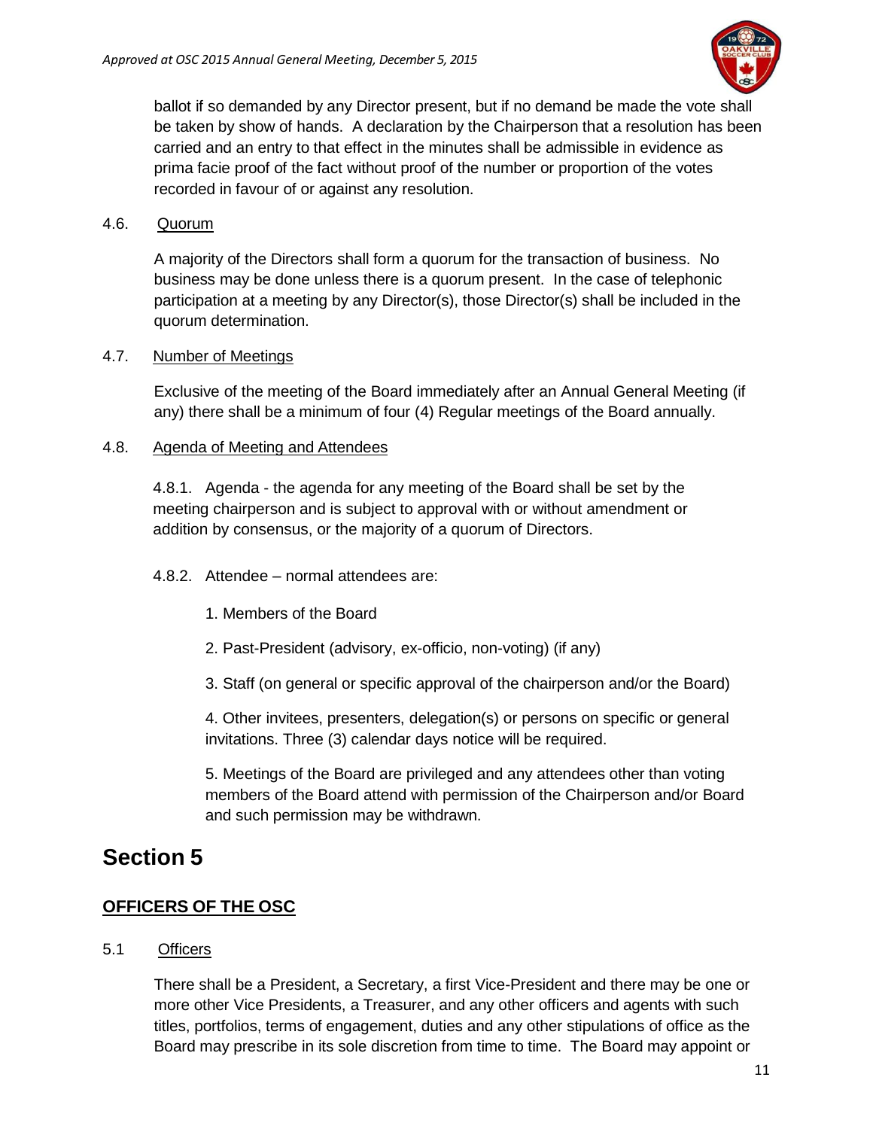

ballot if so demanded by any Director present, but if no demand be made the vote shall be taken by show of hands. A declaration by the Chairperson that a resolution has been carried and an entry to that effect in the minutes shall be admissible in evidence as prima facie proof of the fact without proof of the number or proportion of the votes recorded in favour of or against any resolution.

### 4.6. Quorum

A majority of the Directors shall form a quorum for the transaction of business. No business may be done unless there is a quorum present. In the case of telephonic participation at a meeting by any Director(s), those Director(s) shall be included in the quorum determination.

#### 4.7. Number of Meetings

Exclusive of the meeting of the Board immediately after an Annual General Meeting (if any) there shall be a minimum of four (4) Regular meetings of the Board annually.

### 4.8. Agenda of Meeting and Attendees

4.8.1. Agenda - the agenda for any meeting of the Board shall be set by the meeting chairperson and is subject to approval with or without amendment or addition by consensus, or the majority of a quorum of Directors.

- 4.8.2. Attendee normal attendees are:
	- 1. Members of the Board
	- 2. Past-President (advisory, ex-officio, non-voting) (if any)
	- 3. Staff (on general or specific approval of the chairperson and/or the Board)

4. Other invitees, presenters, delegation(s) or persons on specific or general invitations. Three (3) calendar days notice will be required.

<span id="page-10-1"></span>5. Meetings of the Board are privileged and any attendees other than voting members of the Board attend with permission of the Chairperson and/or Board and such permission may be withdrawn.

# <span id="page-10-0"></span>**Section 5**

# **OFFICERS OF THE OSC**

#### 5.1 Officers

There shall be a President, a Secretary, a first Vice-President and there may be one or more other Vice Presidents, a Treasurer, and any other officers and agents with such titles, portfolios, terms of engagement, duties and any other stipulations of office as the Board may prescribe in its sole discretion from time to time. The Board may appoint or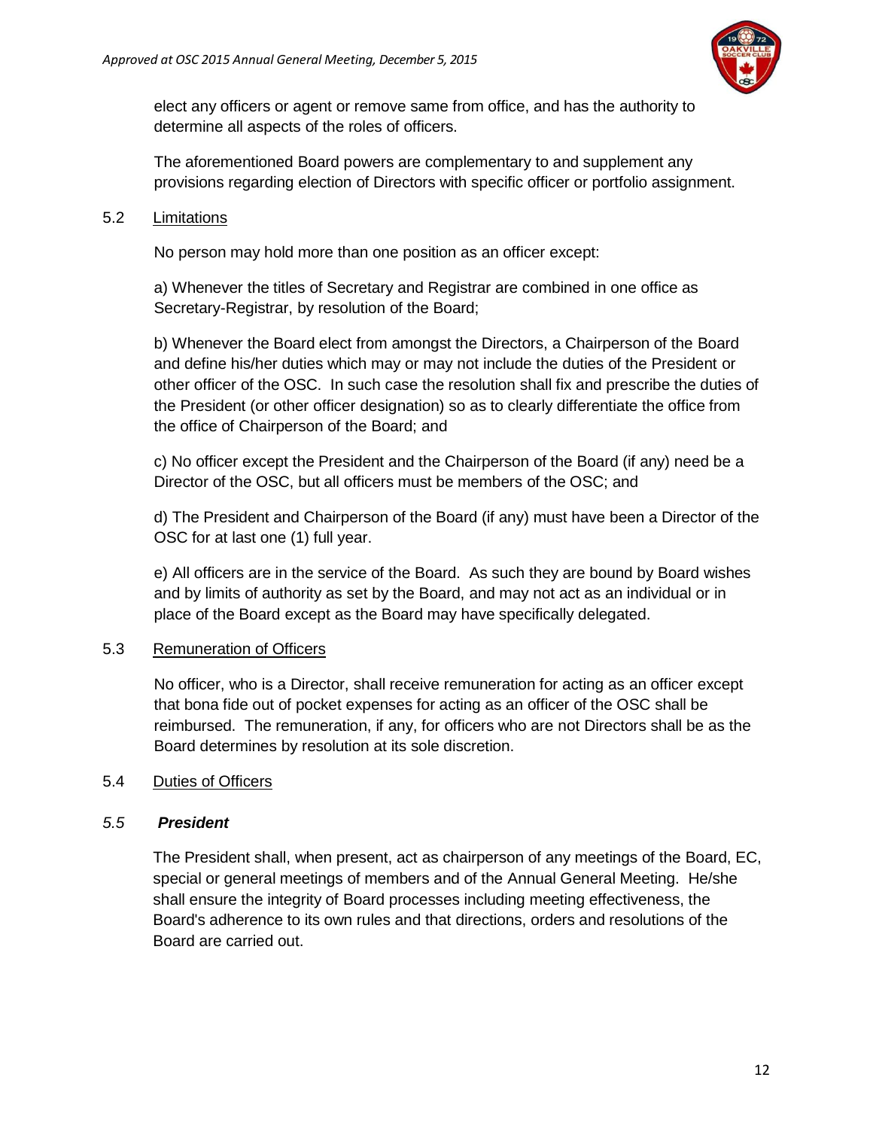

elect any officers or agent or remove same from office, and has the authority to determine all aspects of the roles of officers.

The aforementioned Board powers are complementary to and supplement any provisions regarding election of Directors with specific officer or portfolio assignment.

### 5.2 Limitations

No person may hold more than one position as an officer except:

a) Whenever the titles of Secretary and Registrar are combined in one office as Secretary-Registrar, by resolution of the Board;

b) Whenever the Board elect from amongst the Directors, a Chairperson of the Board and define his/her duties which may or may not include the duties of the President or other officer of the OSC. In such case the resolution shall fix and prescribe the duties of the President (or other officer designation) so as to clearly differentiate the office from the office of Chairperson of the Board; and

c) No officer except the President and the Chairperson of the Board (if any) need be a Director of the OSC, but all officers must be members of the OSC; and

d) The President and Chairperson of the Board (if any) must have been a Director of the OSC for at last one (1) full year.

e) All officers are in the service of the Board. As such they are bound by Board wishes and by limits of authority as set by the Board, and may not act as an individual or in place of the Board except as the Board may have specifically delegated.

# 5.3 Remuneration of Officers

No officer, who is a Director, shall receive remuneration for acting as an officer except that bona fide out of pocket expenses for acting as an officer of the OSC shall be reimbursed. The remuneration, if any, for officers who are not Directors shall be as the Board determines by resolution at its sole discretion.

# 5.4 Duties of Officers

# *5.5 President*

The President shall, when present, act as chairperson of any meetings of the Board, EC, special or general meetings of members and of the Annual General Meeting. He/she shall ensure the integrity of Board processes including meeting effectiveness, the Board's adherence to its own rules and that directions, orders and resolutions of the Board are carried out.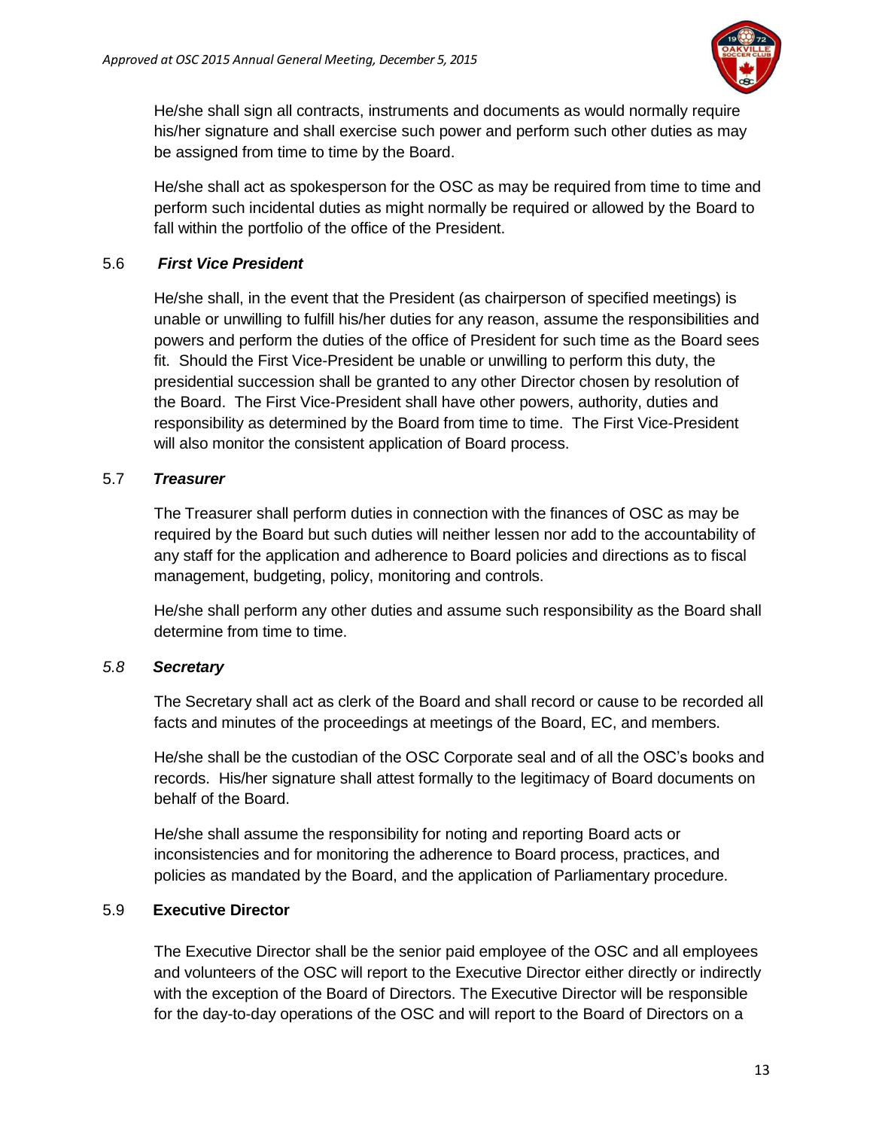

He/she shall sign all contracts, instruments and documents as would normally require his/her signature and shall exercise such power and perform such other duties as may be assigned from time to time by the Board.

He/she shall act as spokesperson for the OSC as may be required from time to time and perform such incidental duties as might normally be required or allowed by the Board to fall within the portfolio of the office of the President.

#### 5.6 *First Vice President*

He/she shall, in the event that the President (as chairperson of specified meetings) is unable or unwilling to fulfill his/her duties for any reason, assume the responsibilities and powers and perform the duties of the office of President for such time as the Board sees fit. Should the First Vice-President be unable or unwilling to perform this duty, the presidential succession shall be granted to any other Director chosen by resolution of the Board. The First Vice-President shall have other powers, authority, duties and responsibility as determined by the Board from time to time. The First Vice-President will also monitor the consistent application of Board process.

### 5.7 *Treasurer*

The Treasurer shall perform duties in connection with the finances of OSC as may be required by the Board but such duties will neither lessen nor add to the accountability of any staff for the application and adherence to Board policies and directions as to fiscal management, budgeting, policy, monitoring and controls.

He/she shall perform any other duties and assume such responsibility as the Board shall determine from time to time.

# *5.8 Secretary*

The Secretary shall act as clerk of the Board and shall record or cause to be recorded all facts and minutes of the proceedings at meetings of the Board, EC, and members.

He/she shall be the custodian of the OSC Corporate seal and of all the OSC's books and records. His/her signature shall attest formally to the legitimacy of Board documents on behalf of the Board.

He/she shall assume the responsibility for noting and reporting Board acts or inconsistencies and for monitoring the adherence to Board process, practices, and policies as mandated by the Board, and the application of Parliamentary procedure.

# 5.9 **Executive Director**

The Executive Director shall be the senior paid employee of the OSC and all employees and volunteers of the OSC will report to the Executive Director either directly or indirectly with the exception of the Board of Directors. The Executive Director will be responsible for the day-to-day operations of the OSC and will report to the Board of Directors on a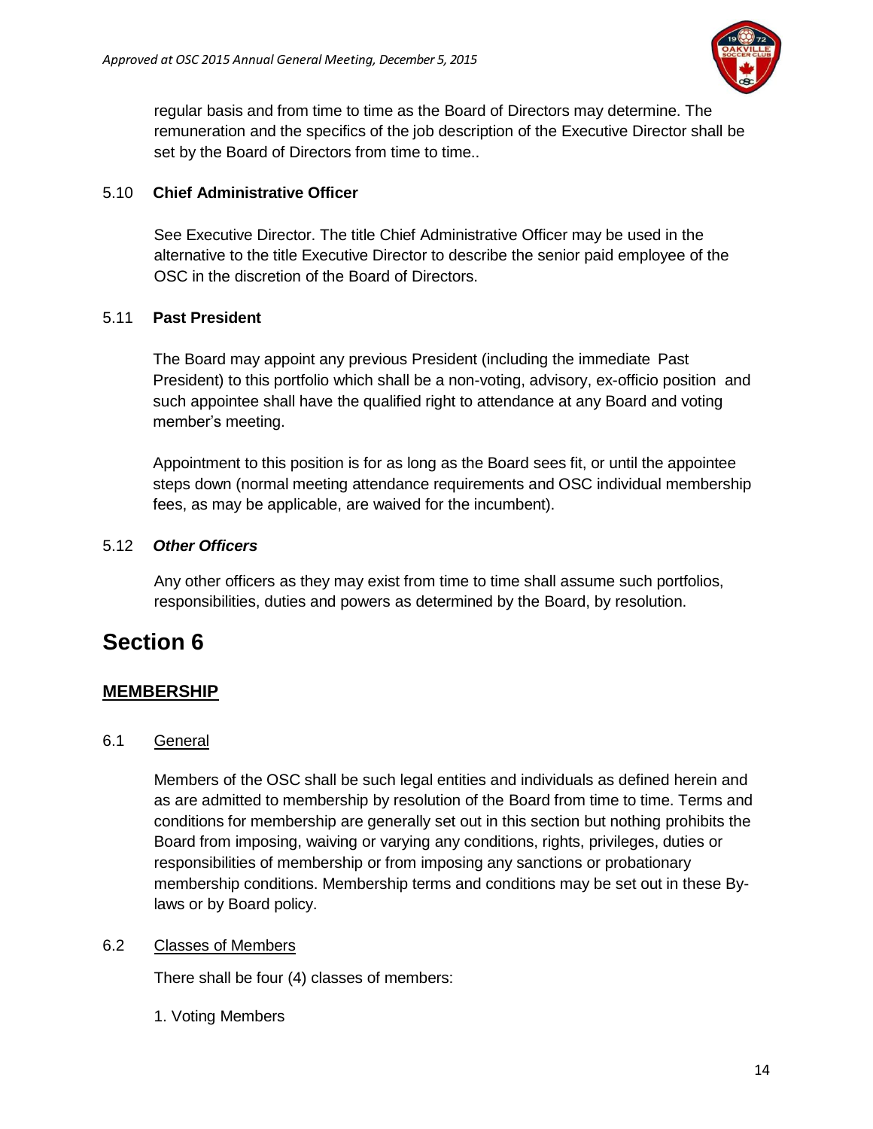

regular basis and from time to time as the Board of Directors may determine. The remuneration and the specifics of the job description of the Executive Director shall be set by the Board of Directors from time to time..

### 5.10 **Chief Administrative Officer**

See Executive Director. The title Chief Administrative Officer may be used in the alternative to the title Executive Director to describe the senior paid employee of the OSC in the discretion of the Board of Directors.

### 5.11 **Past President**

The Board may appoint any previous President (including the immediate Past President) to this portfolio which shall be a non-voting, advisory, ex-officio position and such appointee shall have the qualified right to attendance at any Board and voting member's meeting.

Appointment to this position is for as long as the Board sees fit, or until the appointee steps down (normal meeting attendance requirements and OSC individual membership fees, as may be applicable, are waived for the incumbent).

### 5.12 *Other Officers*

<span id="page-13-1"></span>Any other officers as they may exist from time to time shall assume such portfolios, responsibilities, duties and powers as determined by the Board, by resolution.

# <span id="page-13-0"></span>**Section 6**

# **MEMBERSHIP**

#### 6.1 General

Members of the OSC shall be such legal entities and individuals as defined herein and as are admitted to membership by resolution of the Board from time to time. Terms and conditions for membership are generally set out in this section but nothing prohibits the Board from imposing, waiving or varying any conditions, rights, privileges, duties or responsibilities of membership or from imposing any sanctions or probationary membership conditions. Membership terms and conditions may be set out in these Bylaws or by Board policy.

#### 6.2 Classes of Members

There shall be four (4) classes of members:

1. Voting Members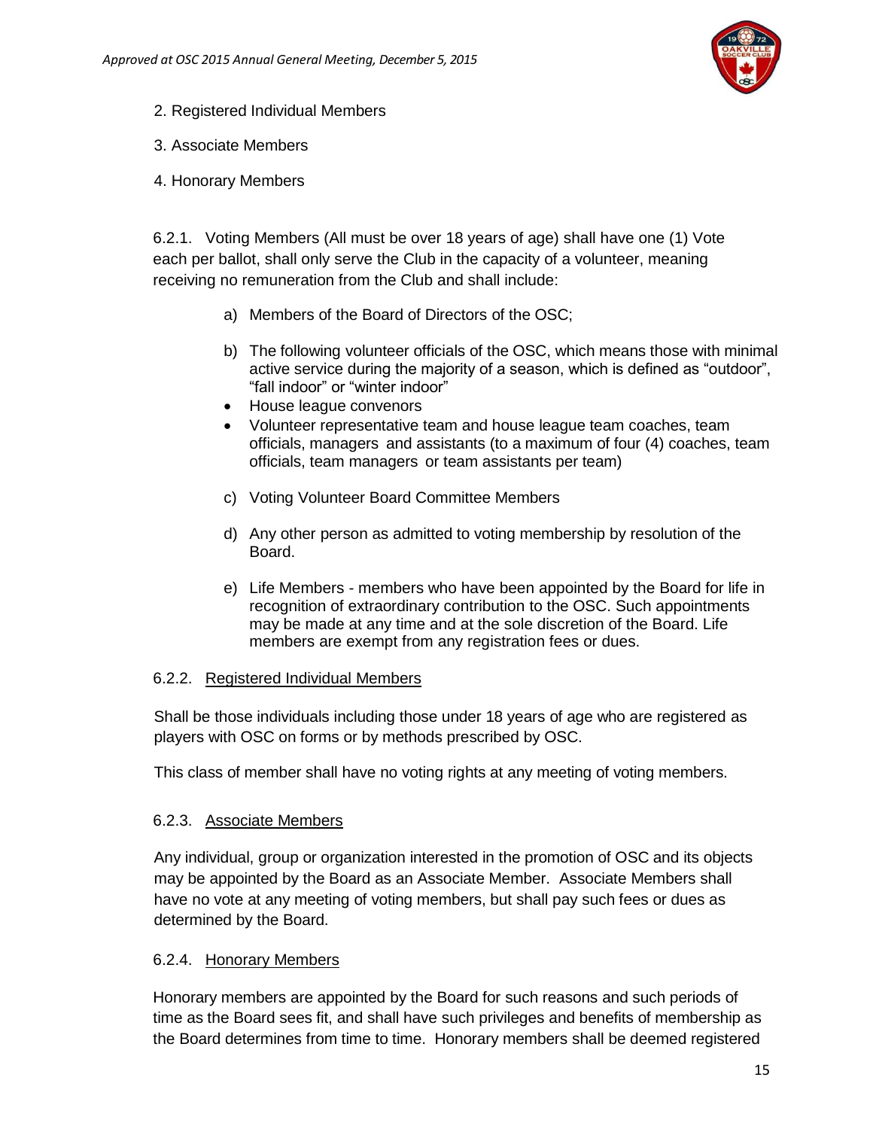

- 2. Registered Individual Members
- 3. Associate Members
- 4. Honorary Members

6.2.1. Voting Members (All must be over 18 years of age) shall have one (1) Vote each per ballot, shall only serve the Club in the capacity of a volunteer, meaning receiving no remuneration from the Club and shall include:

- a) Members of the Board of Directors of the OSC;
- b) The following volunteer officials of the OSC, which means those with minimal active service during the majority of a season, which is defined as "outdoor", "fall indoor" or "winter indoor"
- House league convenors
- Volunteer representative team and house league team coaches, team officials, managers and assistants (to a maximum of four (4) coaches, team officials, team managers or team assistants per team)
- c) Voting Volunteer Board Committee Members
- d) Any other person as admitted to voting membership by resolution of the Board.
- e) Life Members members who have been appointed by the Board for life in recognition of extraordinary contribution to the OSC. Such appointments may be made at any time and at the sole discretion of the Board. Life members are exempt from any registration fees or dues.

#### 6.2.2. Registered Individual Members

Shall be those individuals including those under 18 years of age who are registered as players with OSC on forms or by methods prescribed by OSC.

This class of member shall have no voting rights at any meeting of voting members.

#### 6.2.3. Associate Members

Any individual, group or organization interested in the promotion of OSC and its objects may be appointed by the Board as an Associate Member. Associate Members shall have no vote at any meeting of voting members, but shall pay such fees or dues as determined by the Board.

#### 6.2.4. Honorary Members

Honorary members are appointed by the Board for such reasons and such periods of time as the Board sees fit, and shall have such privileges and benefits of membership as the Board determines from time to time. Honorary members shall be deemed registered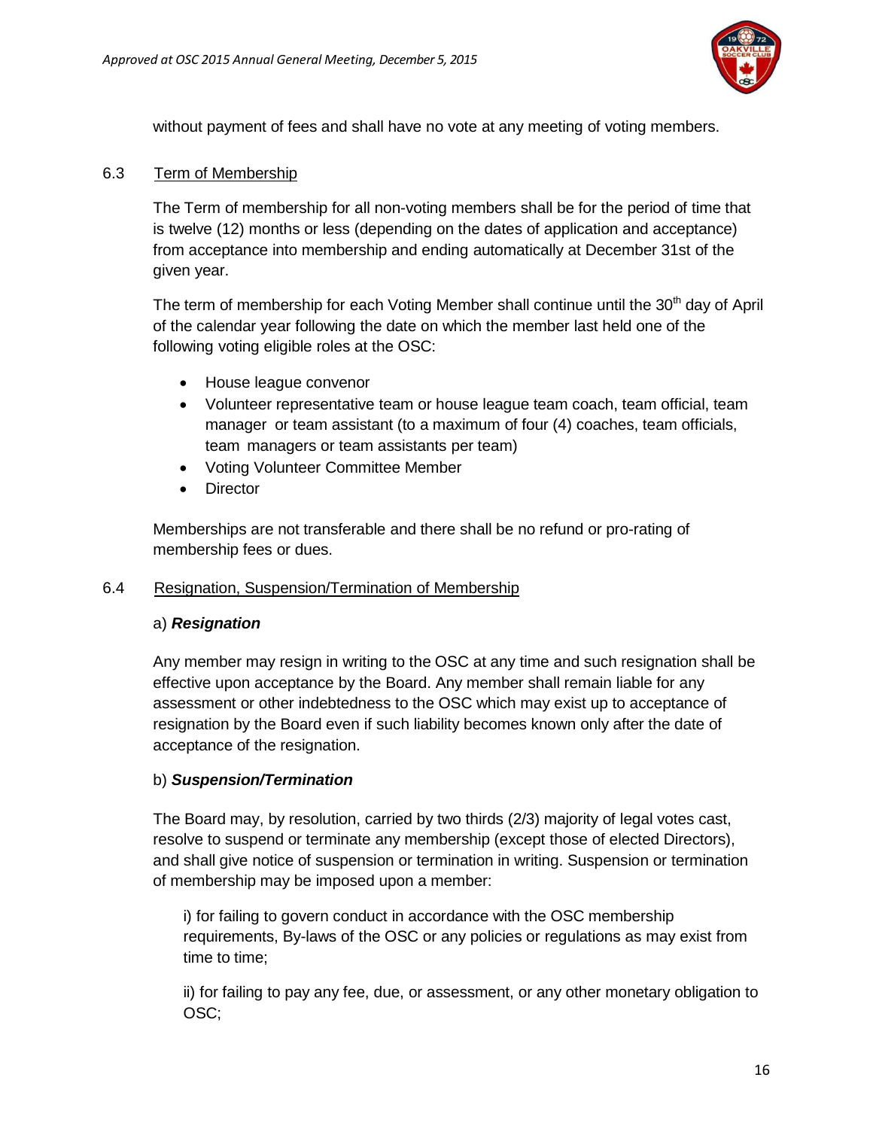

without payment of fees and shall have no vote at any meeting of voting members.

#### 6.3 Term of Membership

The Term of membership for all non-voting members shall be for the period of time that is twelve (12) months or less (depending on the dates of application and acceptance) from acceptance into membership and ending automatically at December 31st of the given year.

The term of membership for each Voting Member shall continue until the  $30<sup>th</sup>$  day of April of the calendar year following the date on which the member last held one of the following voting eligible roles at the OSC:

- House league convenor
- Volunteer representative team or house league team coach, team official, team manager or team assistant (to a maximum of four (4) coaches, team officials, team managers or team assistants per team)
- Voting Volunteer Committee Member
- Director

Memberships are not transferable and there shall be no refund or pro-rating of membership fees or dues.

#### 6.4 Resignation, Suspension/Termination of Membership

#### a) *Resignation*

Any member may resign in writing to the OSC at any time and such resignation shall be effective upon acceptance by the Board. Any member shall remain liable for any assessment or other indebtedness to the OSC which may exist up to acceptance of resignation by the Board even if such liability becomes known only after the date of acceptance of the resignation.

# b) *Suspension/Termination*

The Board may, by resolution, carried by two thirds (2/3) majority of legal votes cast, resolve to suspend or terminate any membership (except those of elected Directors), and shall give notice of suspension or termination in writing. Suspension or termination of membership may be imposed upon a member:

i) for failing to govern conduct in accordance with the OSC membership requirements, By-laws of the OSC or any policies or regulations as may exist from time to time;

ii) for failing to pay any fee, due, or assessment, or any other monetary obligation to OSC;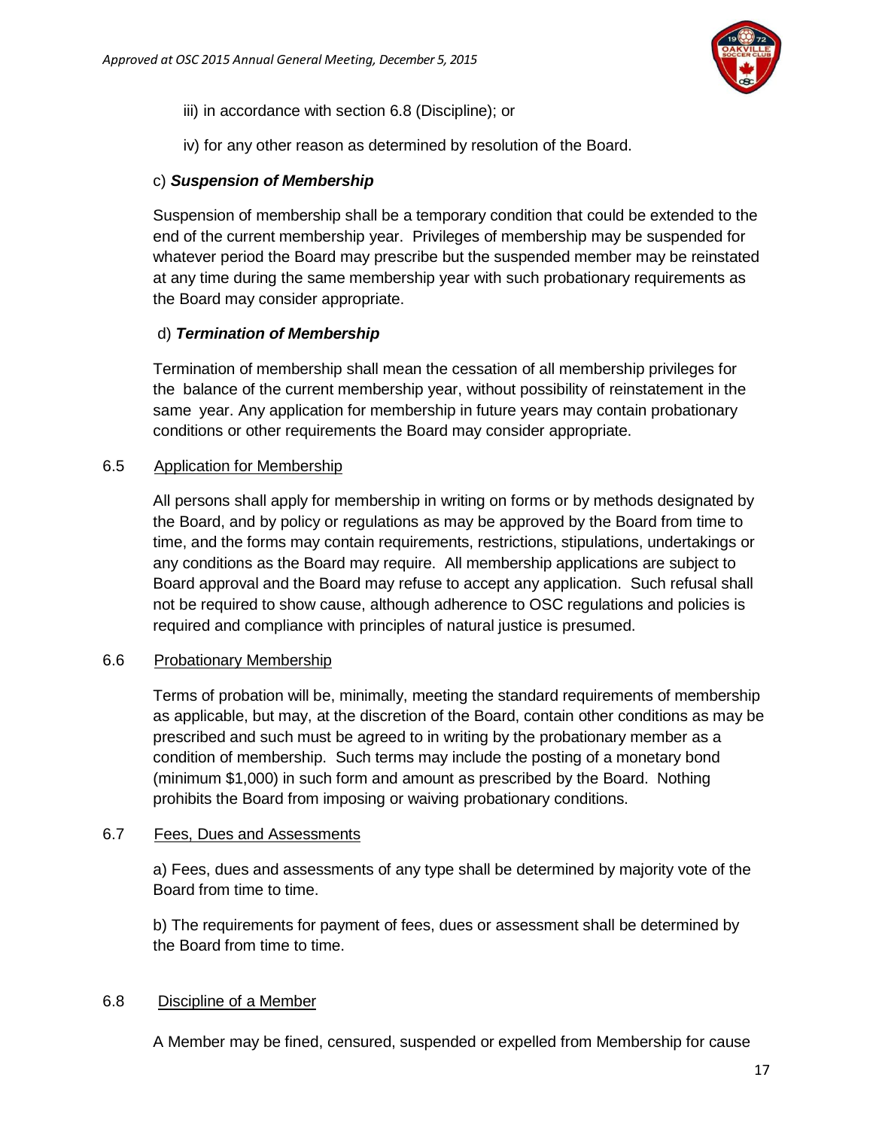

- iii) in accordance with section 6.8 (Discipline); or
- iv) for any other reason as determined by resolution of the Board.

#### c) *Suspension of Membership*

Suspension of membership shall be a temporary condition that could be extended to the end of the current membership year. Privileges of membership may be suspended for whatever period the Board may prescribe but the suspended member may be reinstated at any time during the same membership year with such probationary requirements as the Board may consider appropriate.

### d) *Termination of Membership*

Termination of membership shall mean the cessation of all membership privileges for the balance of the current membership year, without possibility of reinstatement in the same year. Any application for membership in future years may contain probationary conditions or other requirements the Board may consider appropriate.

#### 6.5 Application for Membership

All persons shall apply for membership in writing on forms or by methods designated by the Board, and by policy or regulations as may be approved by the Board from time to time, and the forms may contain requirements, restrictions, stipulations, undertakings or any conditions as the Board may require. All membership applications are subject to Board approval and the Board may refuse to accept any application. Such refusal shall not be required to show cause, although adherence to OSC regulations and policies is required and compliance with principles of natural justice is presumed.

#### 6.6 Probationary Membership

Terms of probation will be, minimally, meeting the standard requirements of membership as applicable, but may, at the discretion of the Board, contain other conditions as may be prescribed and such must be agreed to in writing by the probationary member as a condition of membership. Such terms may include the posting of a monetary bond (minimum \$1,000) in such form and amount as prescribed by the Board. Nothing prohibits the Board from imposing or waiving probationary conditions.

#### 6.7 Fees, Dues and Assessments

a) Fees, dues and assessments of any type shall be determined by majority vote of the Board from time to time.

b) The requirements for payment of fees, dues or assessment shall be determined by the Board from time to time.

#### 6.8 Discipline of a Member

A Member may be fined, censured, suspended or expelled from Membership for cause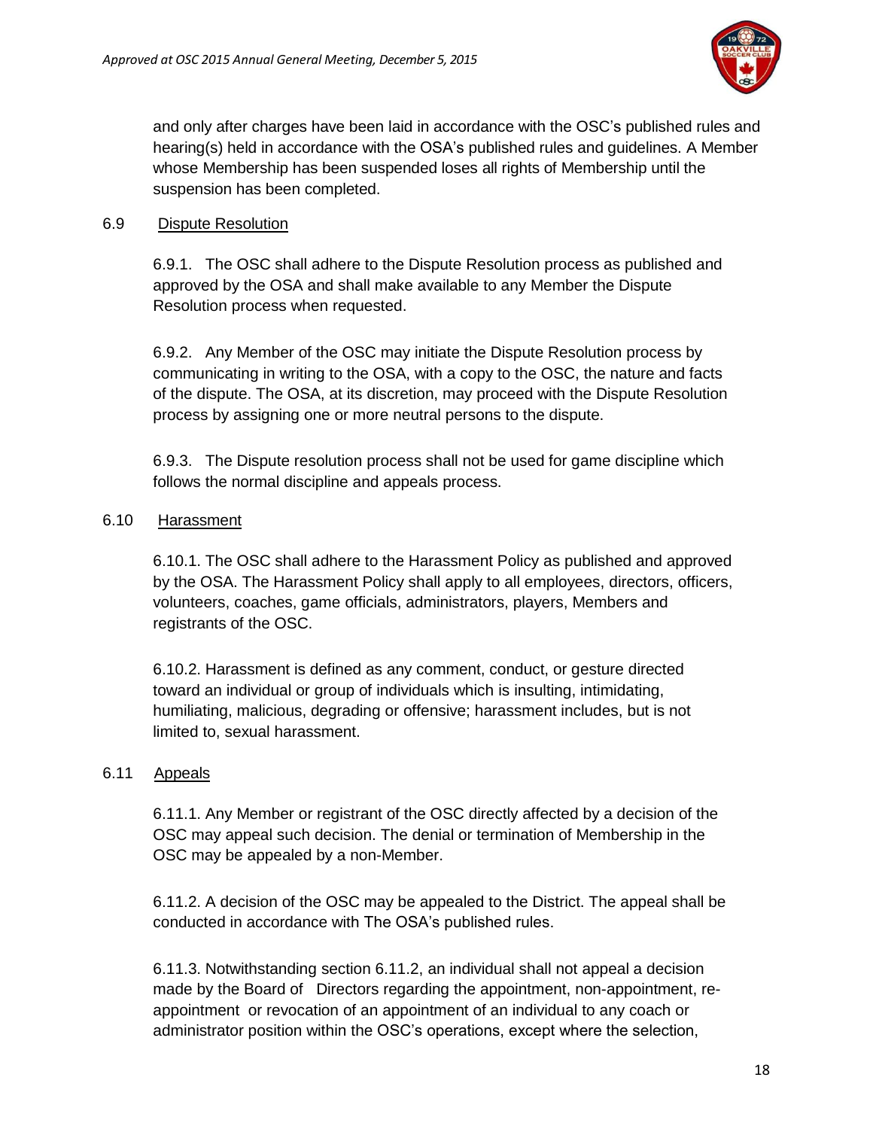

and only after charges have been laid in accordance with the OSC's published rules and hearing(s) held in accordance with the OSA's published rules and guidelines. A Member whose Membership has been suspended loses all rights of Membership until the suspension has been completed.

### 6.9 Dispute Resolution

6.9.1. The OSC shall adhere to the Dispute Resolution process as published and approved by the OSA and shall make available to any Member the Dispute Resolution process when requested.

6.9.2. Any Member of the OSC may initiate the Dispute Resolution process by communicating in writing to the OSA, with a copy to the OSC, the nature and facts of the dispute. The OSA, at its discretion, may proceed with the Dispute Resolution process by assigning one or more neutral persons to the dispute.

6.9.3. The Dispute resolution process shall not be used for game discipline which follows the normal discipline and appeals process.

### 6.10 Harassment

6.10.1. The OSC shall adhere to the Harassment Policy as published and approved by the OSA. The Harassment Policy shall apply to all employees, directors, officers, volunteers, coaches, game officials, administrators, players, Members and registrants of the OSC.

6.10.2. Harassment is defined as any comment, conduct, or gesture directed toward an individual or group of individuals which is insulting, intimidating, humiliating, malicious, degrading or offensive; harassment includes, but is not limited to, sexual harassment.

# 6.11 Appeals

6.11.1. Any Member or registrant of the OSC directly affected by a decision of the OSC may appeal such decision. The denial or termination of Membership in the OSC may be appealed by a non-Member.

6.11.2. A decision of the OSC may be appealed to the District. The appeal shall be conducted in accordance with The OSA's published rules.

6.11.3. Notwithstanding section 6.11.2, an individual shall not appeal a decision made by the Board of Directors regarding the appointment, non-appointment, reappointment or revocation of an appointment of an individual to any coach or administrator position within the OSC's operations, except where the selection,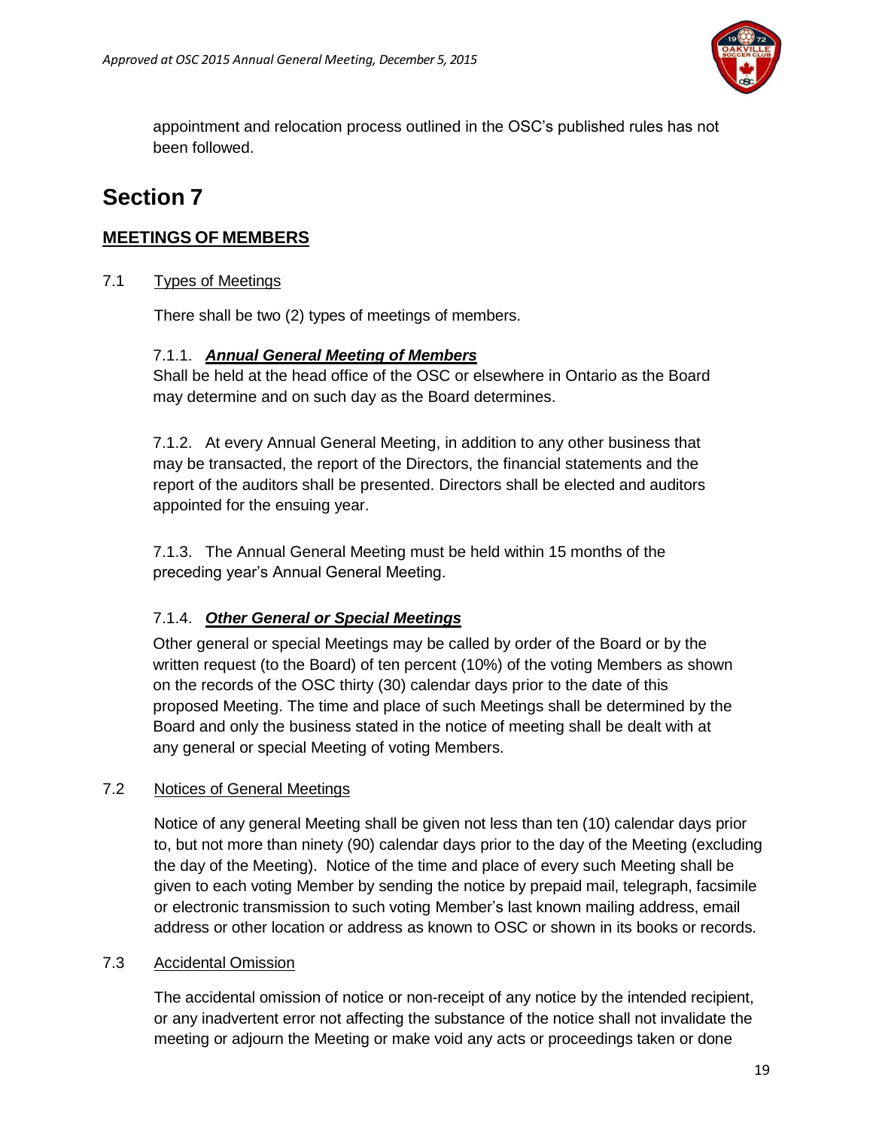

appointment and relocation process outlined in the OSC's published rules has not been followed.

# <span id="page-18-0"></span>**Section 7**

# <span id="page-18-1"></span>**MEETINGS OF MEMBERS**

# 7.1 Types of Meetings

There shall be two (2) types of meetings of members.

# 7.1.1. *Annual General Meeting of Members*

Shall be held at the head office of the OSC or elsewhere in Ontario as the Board may determine and on such day as the Board determines.

7.1.2. At every Annual General Meeting, in addition to any other business that may be transacted, the report of the Directors, the financial statements and the report of the auditors shall be presented. Directors shall be elected and auditors appointed for the ensuing year.

7.1.3. The Annual General Meeting must be held within 15 months of the preceding year's Annual General Meeting.

# 7.1.4. *Other General or Special Meetings*

Other general or special Meetings may be called by order of the Board or by the written request (to the Board) of ten percent (10%) of the voting Members as shown on the records of the OSC thirty (30) calendar days prior to the date of this proposed Meeting. The time and place of such Meetings shall be determined by the Board and only the business stated in the notice of meeting shall be dealt with at any general or special Meeting of voting Members.

# 7.2 Notices of General Meetings

Notice of any general Meeting shall be given not less than ten (10) calendar days prior to, but not more than ninety (90) calendar days prior to the day of the Meeting (excluding the day of the Meeting). Notice of the time and place of every such Meeting shall be given to each voting Member by sending the notice by prepaid mail, telegraph, facsimile or electronic transmission to such voting Member's last known mailing address, email address or other location or address as known to OSC or shown in its books or records.

# 7.3 Accidental Omission

The accidental omission of notice or non-receipt of any notice by the intended recipient, or any inadvertent error not affecting the substance of the notice shall not invalidate the meeting or adjourn the Meeting or make void any acts or proceedings taken or done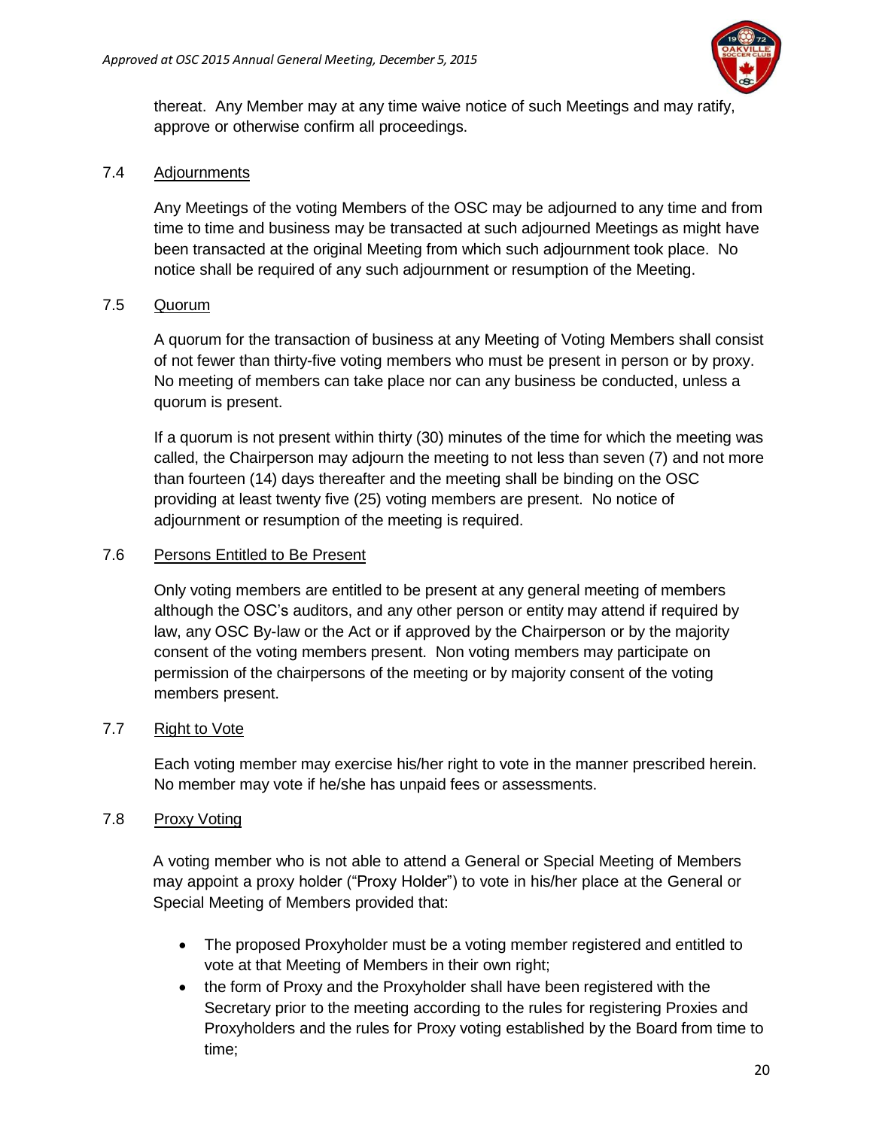

thereat. Any Member may at any time waive notice of such Meetings and may ratify, approve or otherwise confirm all proceedings.

### 7.4 Adjournments

Any Meetings of the voting Members of the OSC may be adjourned to any time and from time to time and business may be transacted at such adjourned Meetings as might have been transacted at the original Meeting from which such adjournment took place. No notice shall be required of any such adjournment or resumption of the Meeting.

# 7.5 Quorum

A quorum for the transaction of business at any Meeting of Voting Members shall consist of not fewer than thirty-five voting members who must be present in person or by proxy. No meeting of members can take place nor can any business be conducted, unless a quorum is present.

If a quorum is not present within thirty (30) minutes of the time for which the meeting was called, the Chairperson may adjourn the meeting to not less than seven (7) and not more than fourteen (14) days thereafter and the meeting shall be binding on the OSC providing at least twenty five (25) voting members are present. No notice of adjournment or resumption of the meeting is required.

### 7.6 Persons Entitled to Be Present

Only voting members are entitled to be present at any general meeting of members although the OSC's auditors, and any other person or entity may attend if required by law, any OSC By-law or the Act or if approved by the Chairperson or by the majority consent of the voting members present. Non voting members may participate on permission of the chairpersons of the meeting or by majority consent of the voting members present.

# 7.7 Right to Vote

Each voting member may exercise his/her right to vote in the manner prescribed herein. No member may vote if he/she has unpaid fees or assessments.

# 7.8 Proxy Voting

A voting member who is not able to attend a General or Special Meeting of Members may appoint a proxy holder ("Proxy Holder") to vote in his/her place at the General or Special Meeting of Members provided that:

- The proposed Proxyholder must be a voting member registered and entitled to vote at that Meeting of Members in their own right;
- the form of Proxy and the Proxyholder shall have been registered with the Secretary prior to the meeting according to the rules for registering Proxies and Proxyholders and the rules for Proxy voting established by the Board from time to time;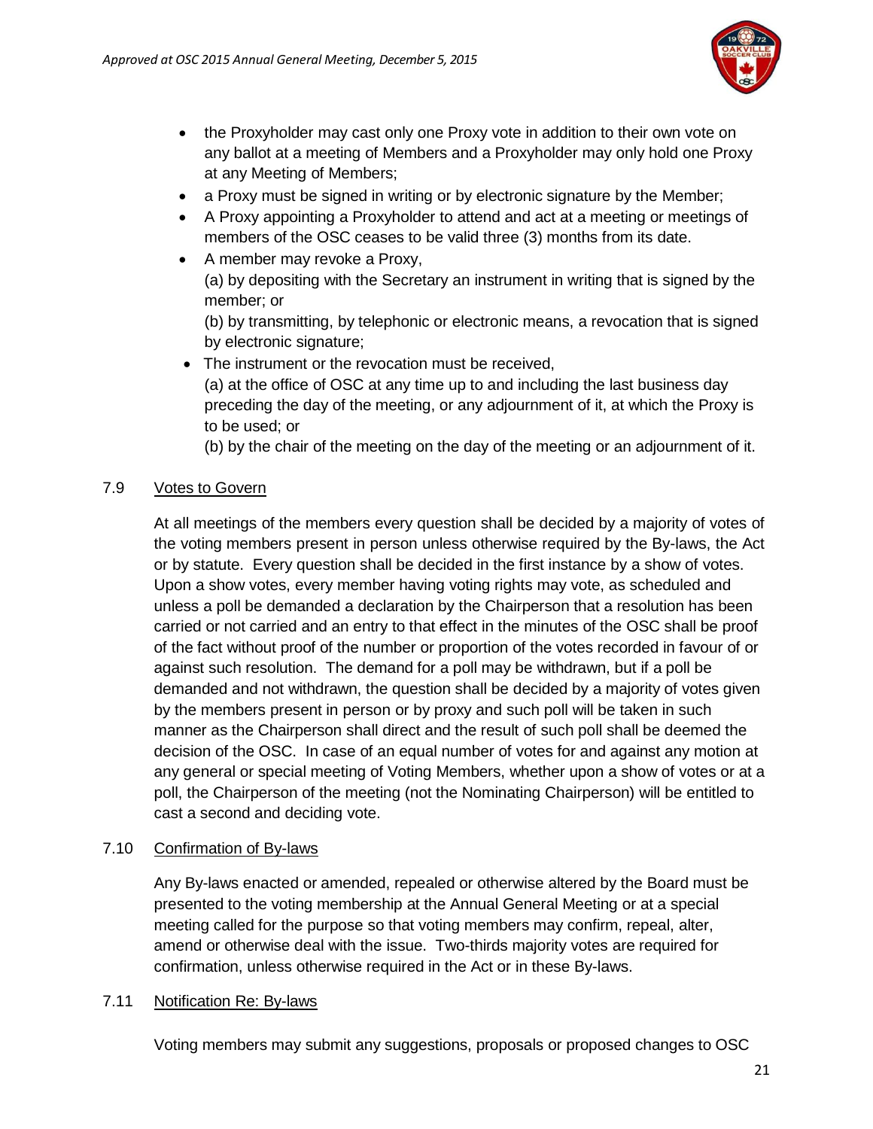

- the Proxyholder may cast only one Proxy vote in addition to their own vote on any ballot at a meeting of Members and a Proxyholder may only hold one Proxy at any Meeting of Members;
- a Proxy must be signed in writing or by electronic signature by the Member;
- A Proxy appointing a Proxyholder to attend and act at a meeting or meetings of members of the OSC ceases to be valid three (3) months from its date.
- A member may revoke a Proxy, (a) by depositing with the Secretary an instrument in writing that is signed by the member; or

(b) by transmitting, by telephonic or electronic means, a revocation that is signed by electronic signature;

• The instrument or the revocation must be received, (a) at the office of OSC at any time up to and including the last business day preceding the day of the meeting, or any adjournment of it, at which the Proxy is to be used; or

(b) by the chair of the meeting on the day of the meeting or an adjournment of it.

# 7.9 Votes to Govern

At all meetings of the members every question shall be decided by a majority of votes of the voting members present in person unless otherwise required by the By-laws, the Act or by statute. Every question shall be decided in the first instance by a show of votes. Upon a show votes, every member having voting rights may vote, as scheduled and unless a poll be demanded a declaration by the Chairperson that a resolution has been carried or not carried and an entry to that effect in the minutes of the OSC shall be proof of the fact without proof of the number or proportion of the votes recorded in favour of or against such resolution. The demand for a poll may be withdrawn, but if a poll be demanded and not withdrawn, the question shall be decided by a majority of votes given by the members present in person or by proxy and such poll will be taken in such manner as the Chairperson shall direct and the result of such poll shall be deemed the decision of the OSC. In case of an equal number of votes for and against any motion at any general or special meeting of Voting Members, whether upon a show of votes or at a poll, the Chairperson of the meeting (not the Nominating Chairperson) will be entitled to cast a second and deciding vote.

# 7.10 Confirmation of By-laws

Any By-laws enacted or amended, repealed or otherwise altered by the Board must be presented to the voting membership at the Annual General Meeting or at a special meeting called for the purpose so that voting members may confirm, repeal, alter, amend or otherwise deal with the issue. Two-thirds majority votes are required for confirmation, unless otherwise required in the Act or in these By-laws.

#### 7.11 Notification Re: By-laws

Voting members may submit any suggestions, proposals or proposed changes to OSC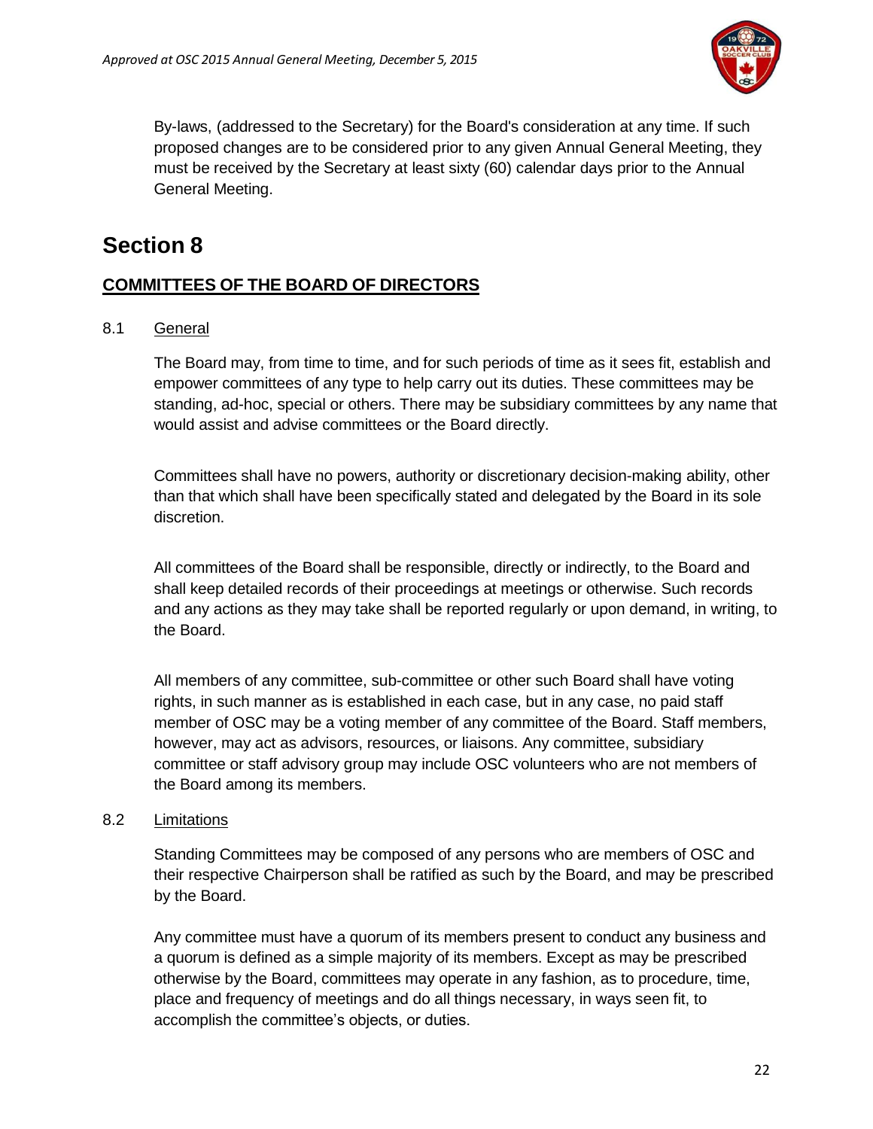

By-laws, (addressed to the Secretary) for the Board's consideration at any time. If such proposed changes are to be considered prior to any given Annual General Meeting, they must be received by the Secretary at least sixty (60) calendar days prior to the Annual General Meeting.

# <span id="page-21-0"></span>**Section 8**

# <span id="page-21-1"></span>**COMMITTEES OF THE BOARD OF DIRECTORS**

8.1 General

The Board may, from time to time, and for such periods of time as it sees fit, establish and empower committees of any type to help carry out its duties. These committees may be standing, ad-hoc, special or others. There may be subsidiary committees by any name that would assist and advise committees or the Board directly.

Committees shall have no powers, authority or discretionary decision-making ability, other than that which shall have been specifically stated and delegated by the Board in its sole discretion.

All committees of the Board shall be responsible, directly or indirectly, to the Board and shall keep detailed records of their proceedings at meetings or otherwise. Such records and any actions as they may take shall be reported regularly or upon demand, in writing, to the Board.

All members of any committee, sub-committee or other such Board shall have voting rights, in such manner as is established in each case, but in any case, no paid staff member of OSC may be a voting member of any committee of the Board. Staff members, however, may act as advisors, resources, or liaisons. Any committee, subsidiary committee or staff advisory group may include OSC volunteers who are not members of the Board among its members.

#### 8.2 Limitations

Standing Committees may be composed of any persons who are members of OSC and their respective Chairperson shall be ratified as such by the Board, and may be prescribed by the Board.

Any committee must have a quorum of its members present to conduct any business and a quorum is defined as a simple majority of its members. Except as may be prescribed otherwise by the Board, committees may operate in any fashion, as to procedure, time, place and frequency of meetings and do all things necessary, in ways seen fit, to accomplish the committee's objects, or duties.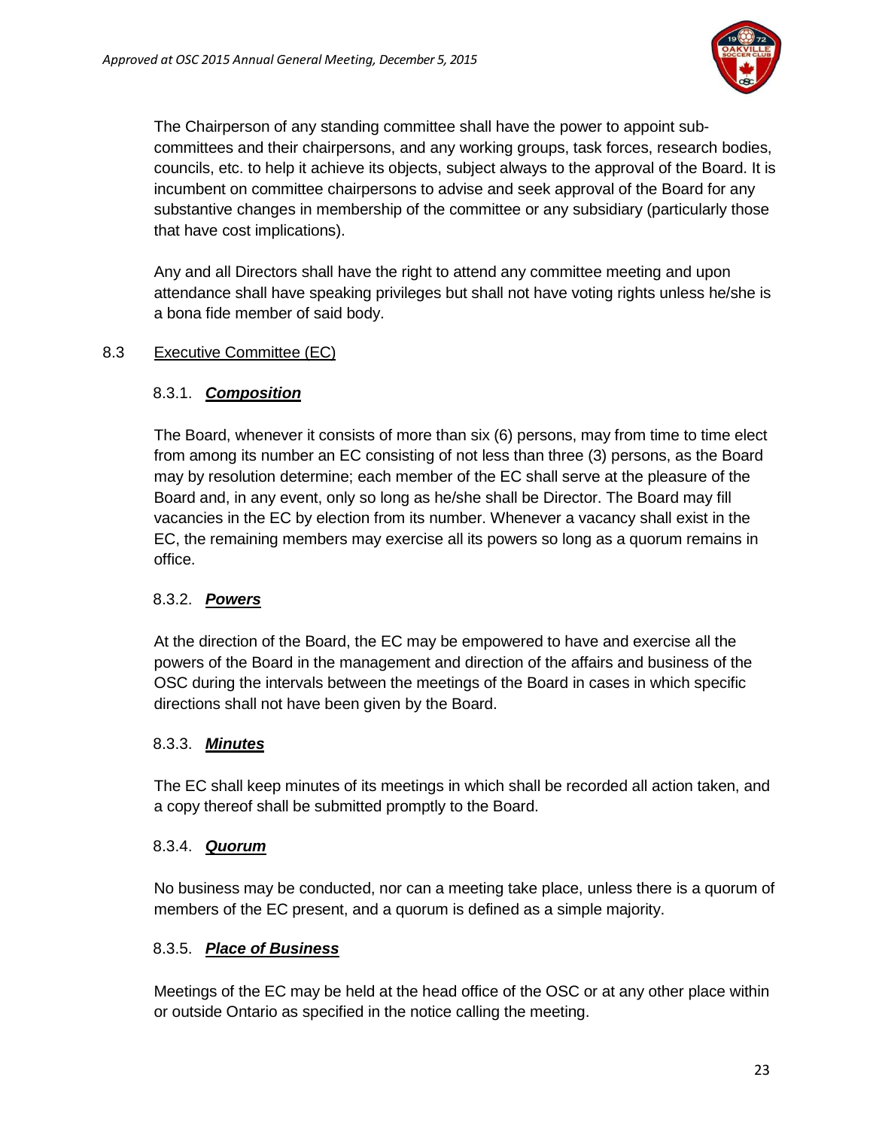

The Chairperson of any standing committee shall have the power to appoint subcommittees and their chairpersons, and any working groups, task forces, research bodies, councils, etc. to help it achieve its objects, subject always to the approval of the Board. It is incumbent on committee chairpersons to advise and seek approval of the Board for any substantive changes in membership of the committee or any subsidiary (particularly those that have cost implications).

Any and all Directors shall have the right to attend any committee meeting and upon attendance shall have speaking privileges but shall not have voting rights unless he/she is a bona fide member of said body.

# 8.3 Executive Committee (EC)

# 8.3.1. *Composition*

The Board, whenever it consists of more than six (6) persons, may from time to time elect from among its number an EC consisting of not less than three (3) persons, as the Board may by resolution determine; each member of the EC shall serve at the pleasure of the Board and, in any event, only so long as he/she shall be Director. The Board may fill vacancies in the EC by election from its number. Whenever a vacancy shall exist in the EC, the remaining members may exercise all its powers so long as a quorum remains in office.

# 8.3.2. *Powers*

At the direction of the Board, the EC may be empowered to have and exercise all the powers of the Board in the management and direction of the affairs and business of the OSC during the intervals between the meetings of the Board in cases in which specific directions shall not have been given by the Board.

# 8.3.3. *Minutes*

The EC shall keep minutes of its meetings in which shall be recorded all action taken, and a copy thereof shall be submitted promptly to the Board.

# 8.3.4. *Quorum*

No business may be conducted, nor can a meeting take place, unless there is a quorum of members of the EC present, and a quorum is defined as a simple majority.

# 8.3.5. *Place of Business*

Meetings of the EC may be held at the head office of the OSC or at any other place within or outside Ontario as specified in the notice calling the meeting.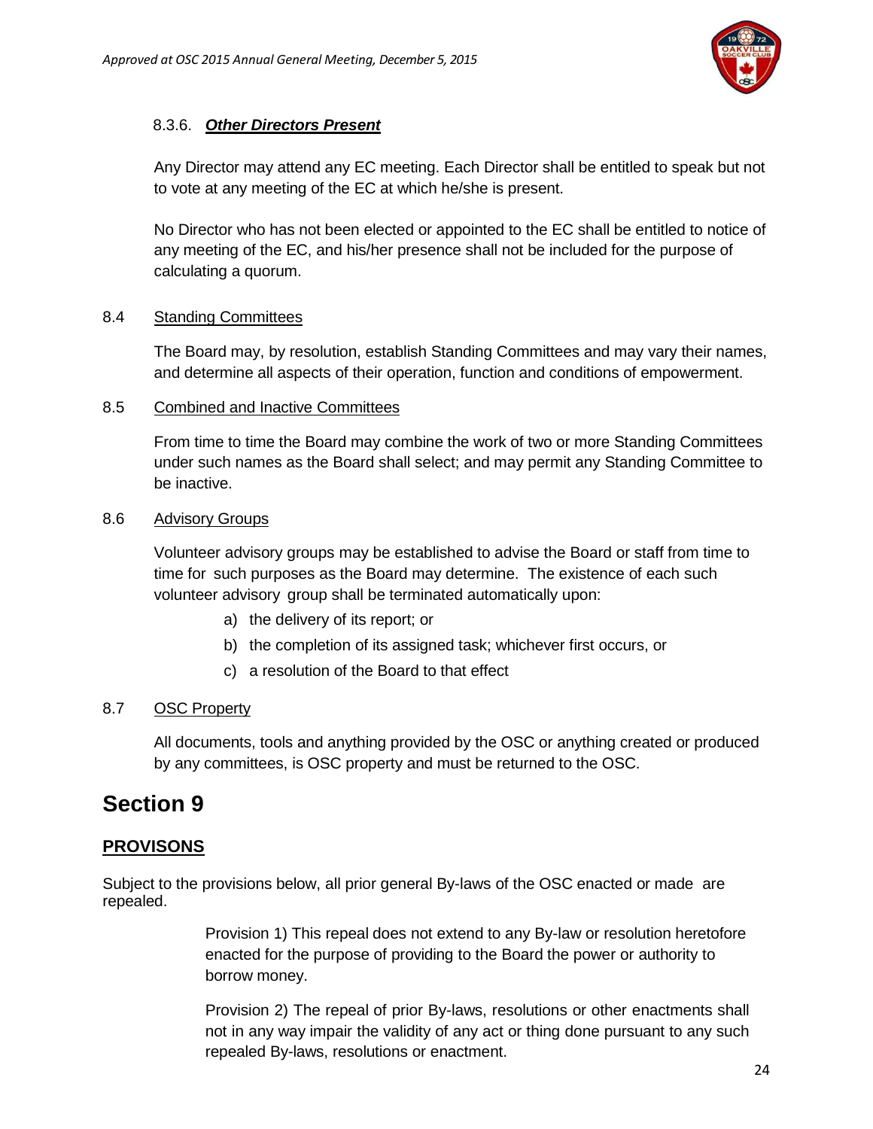

# 8.3.6. *Other Directors Present*

Any Director may attend any EC meeting. Each Director shall be entitled to speak but not to vote at any meeting of the EC at which he/she is present.

No Director who has not been elected or appointed to the EC shall be entitled to notice of any meeting of the EC, and his/her presence shall not be included for the purpose of calculating a quorum.

### 8.4 Standing Committees

The Board may, by resolution, establish Standing Committees and may vary their names, and determine all aspects of their operation, function and conditions of empowerment.

### 8.5 Combined and Inactive Committees

From time to time the Board may combine the work of two or more Standing Committees under such names as the Board shall select; and may permit any Standing Committee to be inactive.

#### 8.6 Advisory Groups

Volunteer advisory groups may be established to advise the Board or staff from time to time for such purposes as the Board may determine. The existence of each such volunteer advisory group shall be terminated automatically upon:

- a) the delivery of its report; or
- b) the completion of its assigned task; whichever first occurs, or
- c) a resolution of the Board to that effect

# 8.7 OSC Property

<span id="page-23-1"></span>All documents, tools and anything provided by the OSC or anything created or produced by any committees, is OSC property and must be returned to the OSC.

# <span id="page-23-0"></span>**Section 9**

# **PROVISONS**

Subject to the provisions below, all prior general By-laws of the OSC enacted or made are repealed.

> Provision 1) This repeal does not extend to any By-law or resolution heretofore enacted for the purpose of providing to the Board the power or authority to borrow money.

> Provision 2) The repeal of prior By-laws, resolutions or other enactments shall not in any way impair the validity of any act or thing done pursuant to any such repealed By-laws, resolutions or enactment.